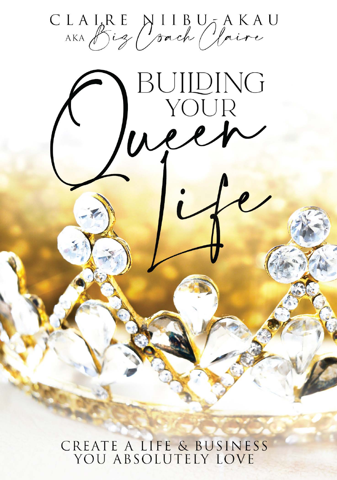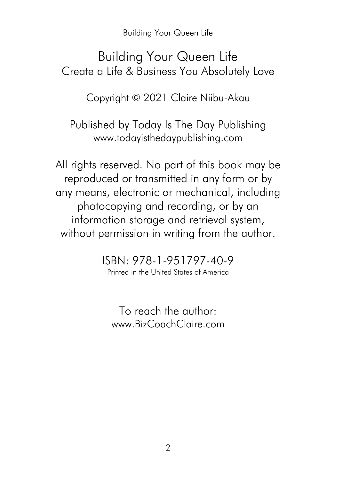#### Building Your Queen Life Create a Life & Business You Absolutely Love

Copyright © 2021 Claire Niibu-Akau

Published by Today Is The Day Publishing www.todayisthedaypublishing.com

All rights reserved. No part of this book may be reproduced or transmitted in any form or by any means, electronic or mechanical, including photocopying and recording, or by an information storage and retrieval system, without permission in writing from the author.

> ISBN: 978-1-951797-40-9 Printed in the United States of America

To reach the author: www.BizCoachClaire.com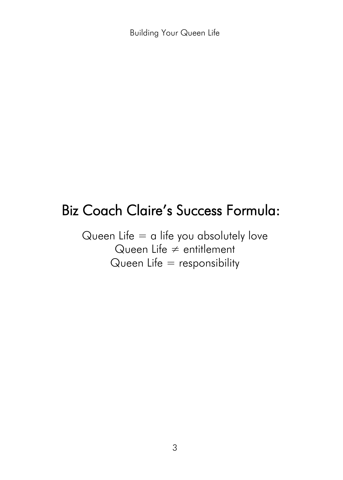## Biz Coach Claire's Success Formula:

Queen Life  $=$  a life you absolutely love Queen Life ≠ entitlement Queen Life  $=$  responsibility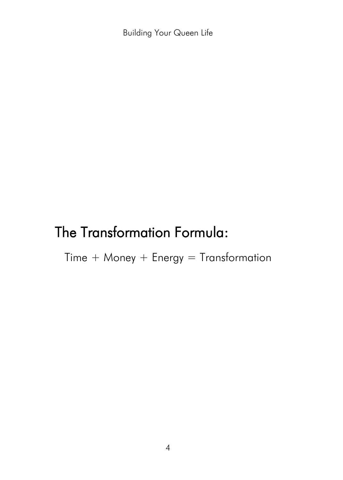## The Transformation Formula:

 $Time + Money + Energy = Transformation$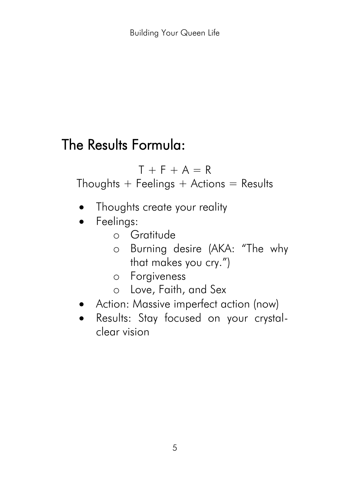## The Results Formula:

 $T + F + A = R$ Thoughts  $+$  Feelings  $+$  Actions  $=$  Results

- Thoughts create your reality
- Feelings:
	- o Gratitude
	- o Burning desire (AKA: "The why that makes you cry.")
	- o Forgiveness
	- o Love, Faith, and Sex
- Action: Massive imperfect action (now)
- Results: Stay focused on your crystalclear vision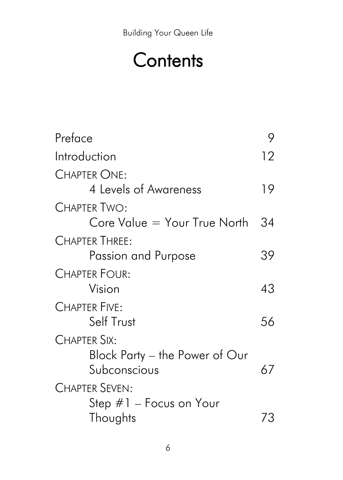# **Contents**

| Preface                                                        |    |
|----------------------------------------------------------------|----|
| Introduction                                                   | 12 |
| CHAPTER ONE:<br>4 Levels of Awareness                          | 19 |
| Chapter Two:<br>Core Value = Your True North                   | 34 |
| <b>CHAPTER THREE:</b><br>Passion and Purpose                   | 39 |
| <b>CHAPTER FOUR:</b><br>Vision                                 | 43 |
| <b>CHAPTER FIVE:</b><br>Self Trust                             | 56 |
| CHAPTER SIX:<br>Block Party – the Power of Our<br>Subconscious | 67 |
| <b>CHAPTER SEVEN:</b><br>Step #1 - Focus on Your<br>Thoughts   | 73 |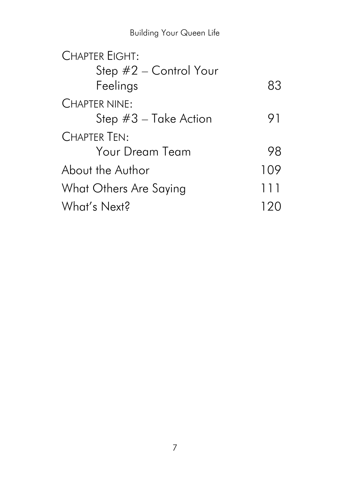| <b>CHAPTER EIGHT:</b>   |     |
|-------------------------|-----|
| Step #2 - Control Your  |     |
| Feelings                | 83  |
| <b>CHAPTER NINE:</b>    |     |
| Step $#3$ – Take Action | 91  |
| <b>CHAPTER TEN:</b>     |     |
| <b>Your Dream Team</b>  | 98  |
| About the Author        | 109 |
| What Others Are Saying  | 111 |
| What's Next?            |     |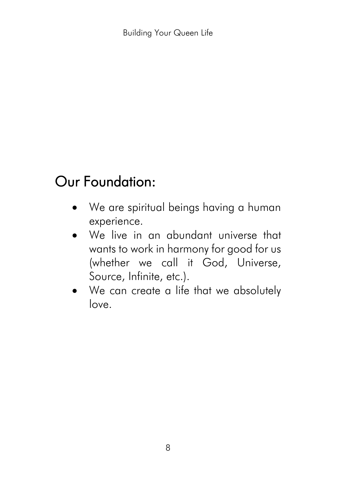# Our Foundation:

- We are spiritual beings having a human experience.
- We live in an abundant universe that wants to work in harmony for good for us (whether we call it God, Universe, Source, Infinite, etc.).
- We can create a life that we absolutely love.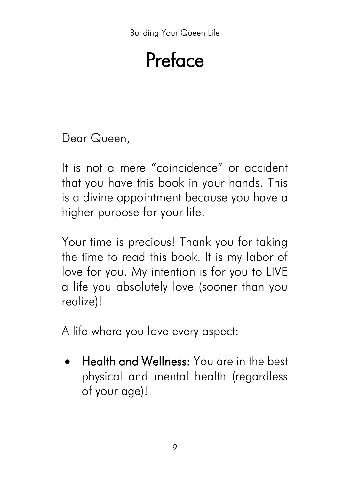# Preface

Dear Queen,

It is not a mere "coincidence" or accident that you have this book in your hands. This is a divine appointment because you have a higher purpose for your life.

Your time is precious! Thank you for taking the time to read this book. It is my labor of love for you. My intention is for you to LIVE a life you absolutely love (sooner than you realize)!

A life where you love every aspect:

• Health and Wellness: You are in the best physical and mental health (regardless of your age)!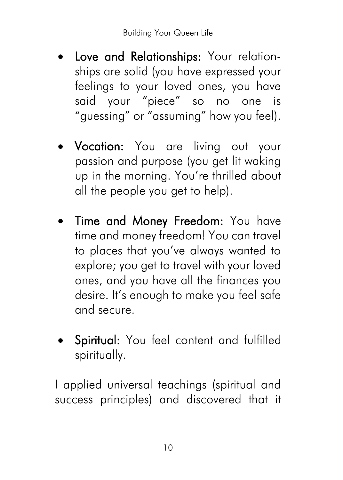- Love and Relationships: Your relationships are solid (you have expressed your feelings to your loved ones, you have said your "piece" so no one is "guessing" or "assuming" how you feel).
- Vocation: You are living out your passion and purpose (you get lit waking up in the morning. You're thrilled about all the people you get to help).
- Time and Money Freedom: You have time and money freedom! You can travel to places that you've always wanted to explore; you get to travel with your loved ones, and you have all the finances you desire. It's enough to make you feel safe and secure.
- Spiritual: You feel content and fulfilled spiritually.

I applied universal teachings (spiritual and success principles) and discovered that it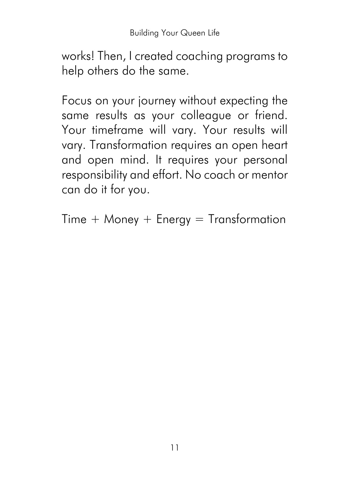works! Then, I created coaching programs to help others do the same.

Focus on your journey without expecting the same results as your colleague or friend. Your timeframe will vary. Your results will vary. Transformation requires an open heart and open mind. It requires your personal responsibility and effort. No coach or mentor can do it for you.

Time  $+$  Money  $+$  Energy  $=$  Transformation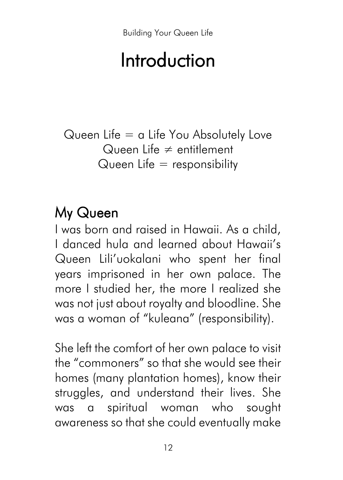# Introduction

Queen Life  $=$  a Life You Absolutely Love Queen Life ≠ entitlement Queen Life  $=$  responsibility

# My Queen

I was born and raised in Hawaii. As a child, I danced hula and learned about Hawaii's Queen Lili'uokalani who spent her final years imprisoned in her own palace. The more I studied her, the more I realized she was not just about royalty and bloodline. She was a woman of "kuleana" (responsibility).

She left the comfort of her own palace to visit the "commoners" so that she would see their homes (many plantation homes), know their struggles, and understand their lives. She was a spiritual woman who sought awareness so that she could eventually make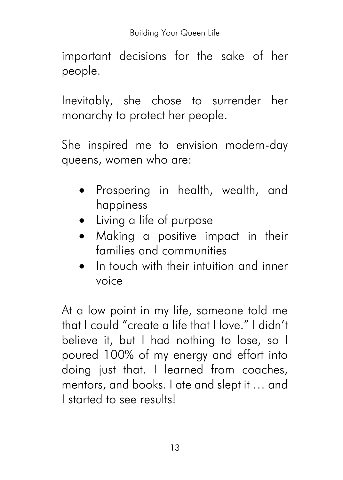important decisions for the sake of her people.

Inevitably, she chose to surrender her monarchy to protect her people.

She inspired me to envision modern-day queens, women who are:

- Prospering in health, wealth, and happiness
- Living a life of purpose
- Making a positive impact in their families and communities
- In touch with their intuition and inner voice

At a low point in my life, someone told me that I could "create a life that I love." I didn't believe it, but I had nothing to lose, so I poured 100% of my energy and effort into doing just that. I learned from coaches, mentors, and books. I ate and slept it … and I started to see results!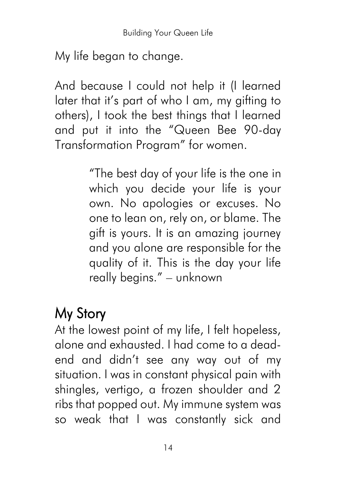My life began to change.

And because I could not help it (I learned later that it's part of who I am, my gifting to others), I took the best things that I learned and put it into the "Queen Bee 90-day Transformation Program" for women.

> "The best day of your life is the one in which you decide your life is your own. No apologies or excuses. No one to lean on, rely on, or blame. The gift is yours. It is an amazing journey and you alone are responsible for the quality of it. This is the day your life really begins." – unknown

# My Story

At the lowest point of my life, I felt hopeless, alone and exhausted. I had come to a deadend and didn't see any way out of my situation. I was in constant physical pain with shingles, vertigo, a frozen shoulder and 2 ribs that popped out. My immune system was so weak that I was constantly sick and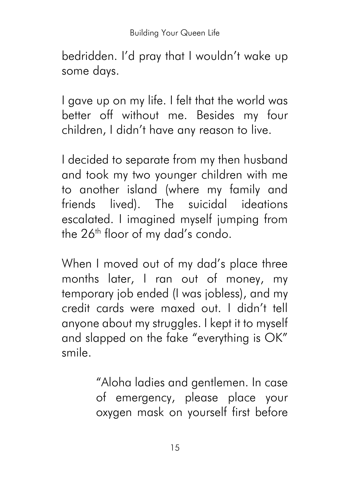bedridden. I'd pray that I wouldn't wake up some days.

I gave up on my life. I felt that the world was better off without me. Besides my four children, I didn't have any reason to live.

I decided to separate from my then husband and took my two younger children with me to another island (where my family and friends lived). The suicidal ideations escalated. I imagined myself jumping from the 26<sup>th</sup> floor of my dad's condo.

When I moved out of my dad's place three months later, I ran out of money, my temporary job ended (I was jobless), and my credit cards were maxed out. I didn't tell anyone about my struggles. I kept it to myself and slapped on the fake "everything is OK" smile.

> "Aloha ladies and gentlemen. In case of emergency, please place your oxygen mask on yourself first before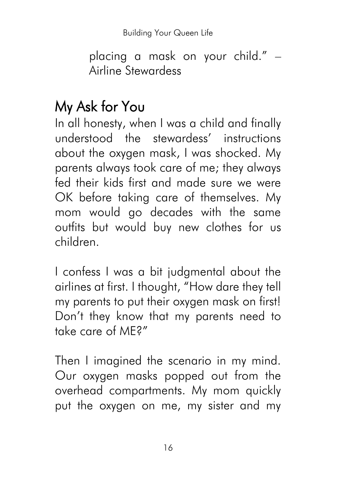placing a mask on your child." – Airline Stewardess

# My Ask for You

In all honesty, when I was a child and finally understood the stewardess' instructions about the oxygen mask, I was shocked. My parents always took care of me; they always fed their kids first and made sure we were OK before taking care of themselves. My mom would go decades with the same outfits but would buy new clothes for us children.

I confess I was a bit judgmental about the airlines at first. I thought, "How dare they tell my parents to put their oxygen mask on first! Don't they know that my parents need to take care of ME?"

Then I imagined the scenario in my mind. Our oxygen masks popped out from the overhead compartments. My mom quickly put the oxygen on me, my sister and my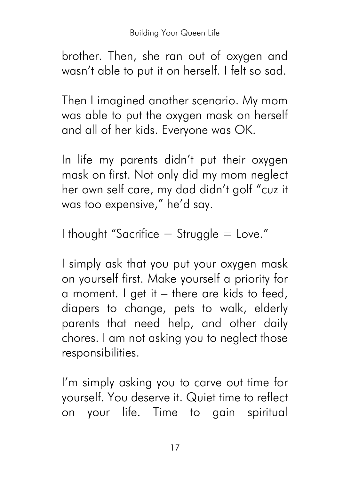brother. Then, she ran out of oxygen and wasn't able to put it on herself. I felt so sad.

Then I imagined another scenario. My mom was able to put the oxygen mask on herself and all of her kids. Everyone was OK.

In life my parents didn't put their oxygen mask on first. Not only did my mom neglect her own self care, my dad didn't golf "cuz it was too expensive," he'd say.

I thought "Sacrifice  $+$  Struggle  $=$  Love."

I simply ask that you put your oxygen mask on yourself first. Make yourself a priority for a moment. I get it – there are kids to feed, diapers to change, pets to walk, elderly parents that need help, and other daily chores. I am not asking you to neglect those responsibilities.

I'm simply asking you to carve out time for yourself. You deserve it. Quiet time to reflect on your life. Time to gain spiritual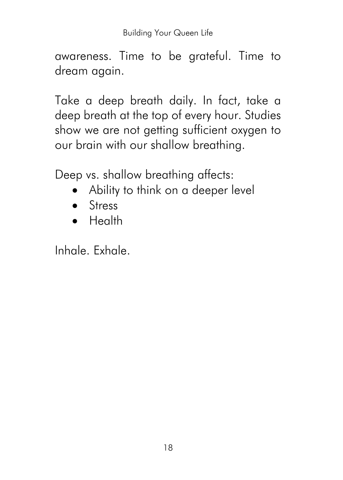awareness. Time to be grateful. Time to dream again.

Take a deep breath daily. In fact, take a deep breath at the top of every hour. Studies show we are not getting sufficient oxygen to our brain with our shallow breathing.

Deep vs. shallow breathing affects:

- Ability to think on a deeper level
- Stress
- Health

Inhale. Exhale.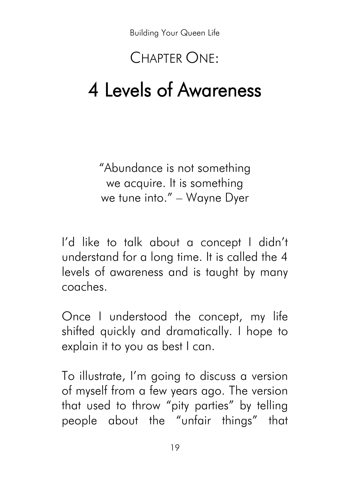### CHAPTER ONE:

# 4 Levels of Awareness

"Abundance is not something we acquire. It is something we tune into." – Wayne Dyer

I'd like to talk about a concept I didn't understand for a long time. It is called the 4 levels of awareness and is taught by many coaches.

Once I understood the concept, my life shifted quickly and dramatically. I hope to explain it to you as best I can.

To illustrate, I'm going to discuss a version of myself from a few years ago. The version that used to throw "pity parties" by telling people about the "unfair things" that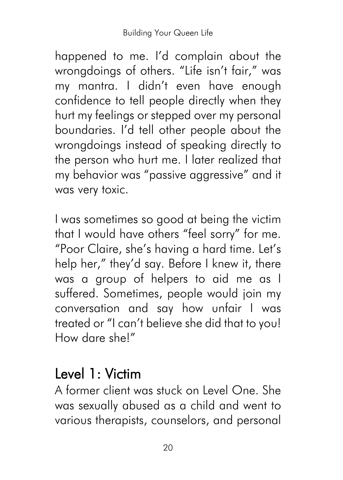happened to me. I'd complain about the wrongdoings of others. "Life isn't fair," was my mantra. I didn't even have enough confidence to tell people directly when they hurt my feelings or stepped over my personal boundaries. I'd tell other people about the wrongdoings instead of speaking directly to the person who hurt me. I later realized that my behavior was "passive aggressive" and it was very toxic.

I was sometimes so good at being the victim that I would have others "feel sorry" for me. "Poor Claire, she's having a hard time. Let's help her," they'd say. Before I knew it, there was a group of helpers to aid me as I suffered. Sometimes, people would join my conversation and say how unfair I was treated or "I can't believe she did that to you! How dare she!"

### Level 1: Victim

A former client was stuck on Level One. She was sexually abused as a child and went to various therapists, counselors, and personal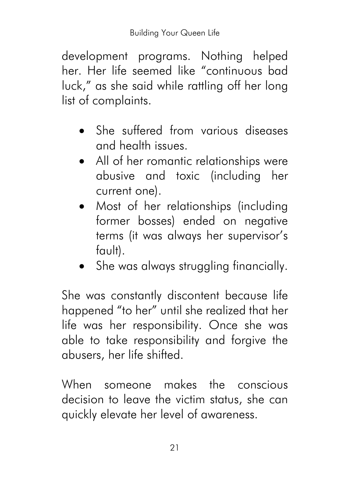development programs. Nothing helped her. Her life seemed like "continuous bad luck," as she said while rattling off her long list of complaints.

- She suffered from various diseases and health issues.
- All of her romantic relationships were abusive and toxic (including her current one).
- Most of her relationships (including former bosses) ended on negative terms (it was always her supervisor's fault).
- She was always struggling financially.

She was constantly discontent because life happened "to her" until she realized that her life was her responsibility. Once she was able to take responsibility and forgive the abusers, her life shifted.

When someone makes the conscious decision to leave the victim status, she can quickly elevate her level of awareness.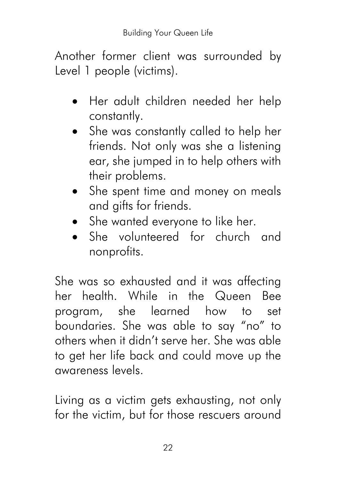Another former client was surrounded by Level 1 people (victims).

- Her adult children needed her help constantly.
- She was constantly called to help her friends. Not only was she a listening ear, she jumped in to help others with their problems.
- She spent time and money on meals and gifts for friends.
- She wanted everyone to like her.
- She volunteered for church and nonprofits.

She was so exhausted and it was affecting her health. While in the Queen Bee program, she learned how to set boundaries. She was able to say "no" to others when it didn't serve her. She was able to get her life back and could move up the awareness levels.

Living as a victim gets exhausting, not only for the victim, but for those rescuers around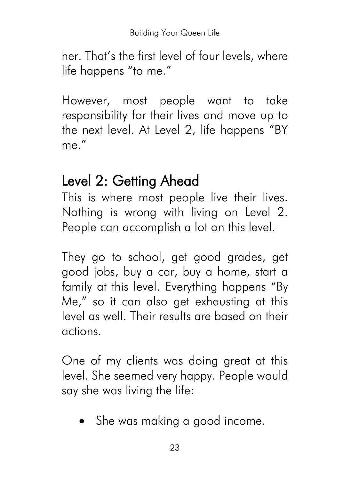her. That's the first level of four levels, where life happens "to me."

However, most people want to take responsibility for their lives and move up to the next level. At Level 2, life happens "BY me."

### Level 2: Getting Ahead

This is where most people live their lives. Nothing is wrong with living on Level 2. People can accomplish a lot on this level.

They go to school, get good grades, get good jobs, buy a car, buy a home, start a family at this level. Everything happens "By Me," so it can also get exhausting at this level as well. Their results are based on their actions.

One of my clients was doing great at this level. She seemed very happy. People would say she was living the life:

• She was making a good income.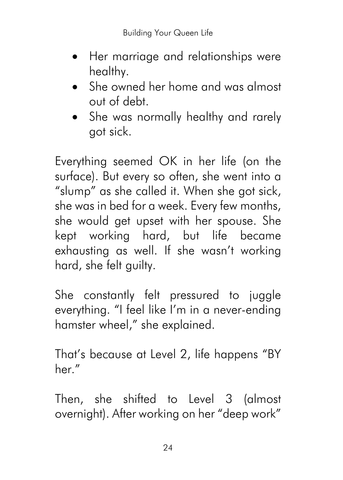- Her marriage and relationships were healthy.
- She owned her home and was almost out of debt.
- She was normally healthy and rarely got sick.

Everything seemed OK in her life (on the surface). But every so often, she went into a "slump" as she called it. When she got sick, she was in bed for a week. Every few months, she would get upset with her spouse. She kept working hard, but life became exhausting as well. If she wasn't working hard, she felt guilty.

She constantly felt pressured to juggle everything. "I feel like I'm in a never-ending hamster wheel," she explained.

That's because at Level 2, life happens "BY her."

Then, she shifted to Level 3 (almost overnight). After working on her "deep work"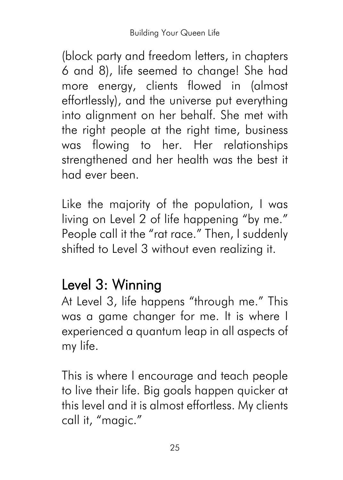(block party and freedom letters, in chapters 6 and 8), life seemed to change! She had more energy, clients flowed in (almost effortlessly), and the universe put everything into alignment on her behalf. She met with the right people at the right time, business was flowing to her. Her relationships strengthened and her health was the best it had ever been.

Like the majority of the population, I was living on Level 2 of life happening "by me." People call it the "rat race." Then, I suddenly shifted to Level 3 without even realizing it.

# Level 3: Winning

At Level 3, life happens "through me." This was a game changer for me. It is where I experienced a quantum leap in all aspects of my life.

This is where I encourage and teach people to live their life. Big goals happen quicker at this level and it is almost effortless. My clients call it, "magic."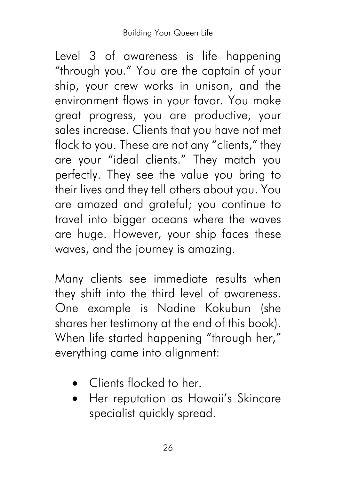Level 3 of awareness is life happening "through you." You are the captain of your ship, your crew works in unison, and the environment flows in your favor. You make great progress, you are productive, your sales increase. Clients that you have not met flock to you. These are not any "clients," they are your "ideal clients." They match you perfectly. They see the value you bring to their lives and they tell others about you. You are amazed and grateful; you continue to travel into bigger oceans where the waves are huge. However, your ship faces these waves, and the journey is amazing.

Many clients see immediate results when they shift into the third level of awareness. One example is Nadine Kokubun (she shares her testimony at the end of this book). When life started happening "through her," everything came into alignment:

- Clients flocked to her
- Her reputation as Hawaii's Skincare specialist quickly spread.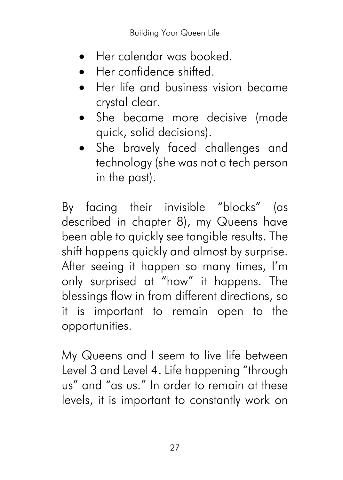- Her calendar was booked.
- Her confidence shifted.
- Her life and business vision became crystal clear.
- She became more decisive (made quick, solid decisions).
- She bravely faced challenges and technology (she was not a tech person in the past).

By facing their invisible "blocks" (as described in chapter 8), my Queens have been able to quickly see tangible results. The shift happens quickly and almost by surprise. After seeing it happen so many times, I'm only surprised at "how" it happens. The blessings flow in from different directions, so it is important to remain open to the opportunities.

My Queens and I seem to live life between Level 3 and Level 4. Life happening "through us" and "as us." In order to remain at these levels, it is important to constantly work on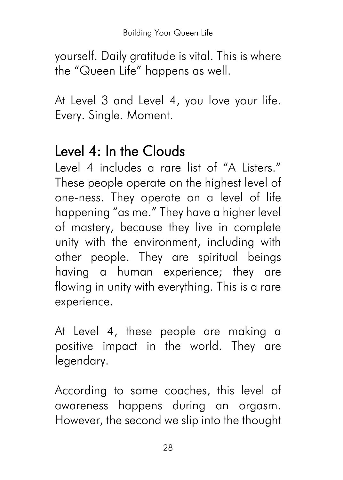yourself. Daily gratitude is vital. This is where the "Queen Life" happens as well.

At Level 3 and Level 4, you love your life. Every. Single. Moment.

# Level  $4:$  In the Clouds

Level 4 includes a rare list of "A Listers." These people operate on the highest level of one-ness. They operate on a level of life happening "as me." They have a higher level of mastery, because they live in complete unity with the environment, including with other people. They are spiritual beings having a human experience; they are flowing in unity with everything. This is a rare experience.

At Level 4, these people are making a positive impact in the world. They are legendary.

According to some coaches, this level of awareness happens during an orgasm. However, the second we slip into the thought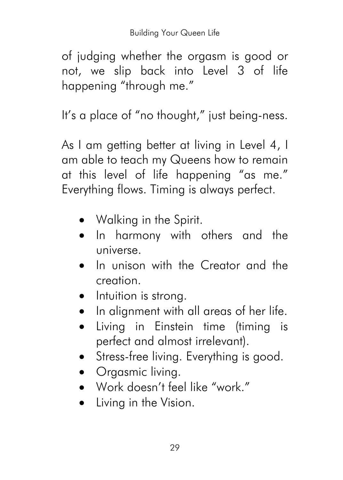of judging whether the orgasm is good or not, we slip back into Level 3 of life happening "through me."

It's a place of "no thought," just being-ness.

As I am getting better at living in Level 4, I am able to teach my Queens how to remain at this level of life happening "as me." Everything flows. Timing is always perfect.

- Walking in the Spirit.
- In harmony with others and the universe.
- In unison with the Creator and the creation.
- Intuition is strong.
- In alignment with all areas of her life.
- Living in Einstein time (timing is perfect and almost irrelevant).
- Stress-free living. Everything is good.
- Orgasmic living.
- Work doesn't feel like "work."
- Living in the Vision.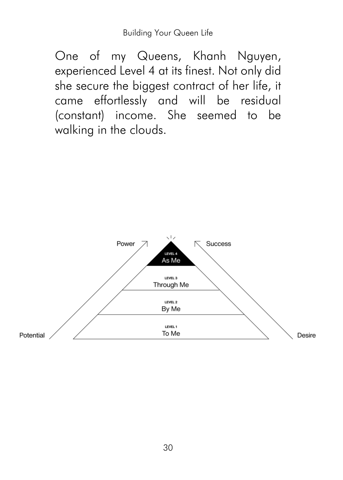One of my Queens, Khanh Nguyen, experienced Level 4 at its finest. Not only did she secure the biggest contract of her life, it came effortlessly and will be residual (constant) income. She seemed to be walking in the clouds.

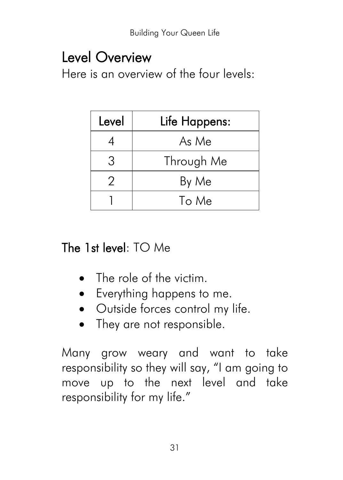### Level Overview

Here is an overview of the four levels:

| Level | Life Happens: |
|-------|---------------|
|       | As Me         |
|       | Through Me    |
|       | By Me         |
|       | To Me         |

#### The 1st level: TO Me

- The role of the victim.
- Everything happens to me.
- Outside forces control my life.
- They are not responsible.

Many grow weary and want to take responsibility so they will say, "I am going to move up to the next level and take responsibility for my life."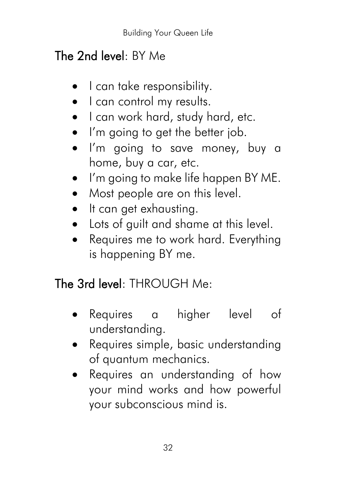### The 2nd level: BY Me

- I can take responsibility.
- I can control my results.
- I can work hard, study hard, etc.
- I'm going to get the better job.
- I'm going to save money, buy a home, buy a car, etc.
- I'm going to make life happen BY ME.
- Most people are on this level.
- It can get exhausting.
- Lots of guilt and shame at this level.
- Requires me to work hard. Everything is happening BY me.

### The 3rd level: THROUGH Me:

- Requires a higher level of understanding.
- Requires simple, basic understanding of quantum mechanics.
- Requires an understanding of how your mind works and how powerful your subconscious mind is.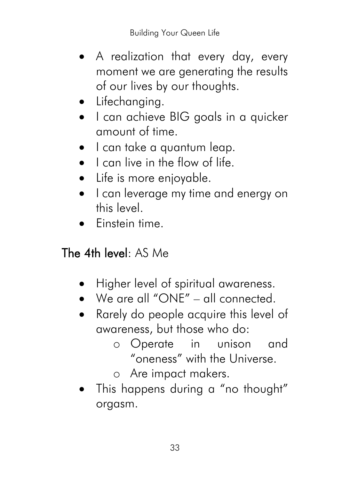- A realization that every day, every moment we are generating the results of our lives by our thoughts.
- Lifechanging.
- I can achieve BIG goals in a quicker amount of time.
- I can take a quantum leap.
- I can live in the flow of life.
- Life is more enjoyable.
- I can leverage my time and energy on this level.
- Einstein time.

#### The 4th level: AS Me

- Higher level of spiritual awareness.
- We are all "ONE" all connected.
- Rarely do people acquire this level of awareness, but those who do:
	- o Operate in unison and "oneness" with the Universe.
	- o Are impact makers.
- This happens during a "no thought" orgasm.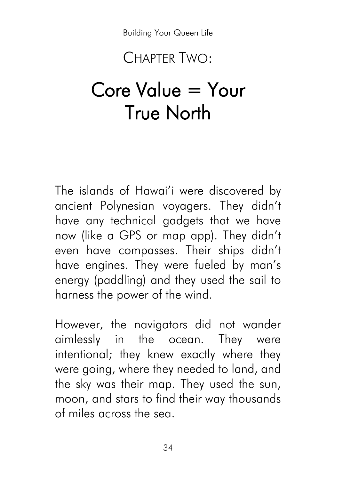### CHAPTER TWO:

# Core Value = Your True North

The islands of Hawai'i were discovered by ancient Polynesian voyagers. They didn't have any technical gadgets that we have now (like a GPS or map app). They didn't even have compasses. Their ships didn't have engines. They were fueled by man's energy (paddling) and they used the sail to harness the power of the wind.

However, the navigators did not wander aimlessly in the ocean. They were intentional; they knew exactly where they were going, where they needed to land, and the sky was their map. They used the sun, moon, and stars to find their way thousands of miles across the sea.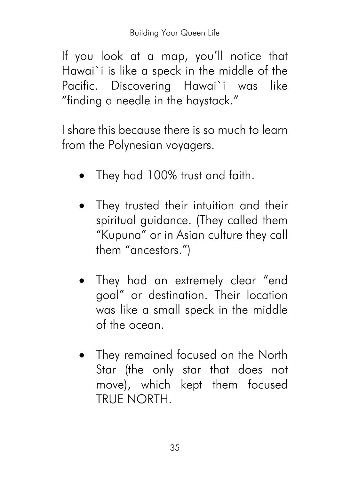If you look at a map, you'll notice that Hawai`i is like a speck in the middle of the Pacific. Discovering Hawai`i was like "finding a needle in the haystack."

I share this because there is so much to learn from the Polynesian voyagers.

- They had 100% trust and faith.
- They trusted their intuition and their spiritual guidance. (They called them "Kupuna" or in Asian culture they call them "ancestors.")
- They had an extremely clear "end goal" or destination. Their location was like a small speck in the middle of the ocean.
- They remained focused on the North Star (the only star that does not move), which kept them focused TRUE NORTH.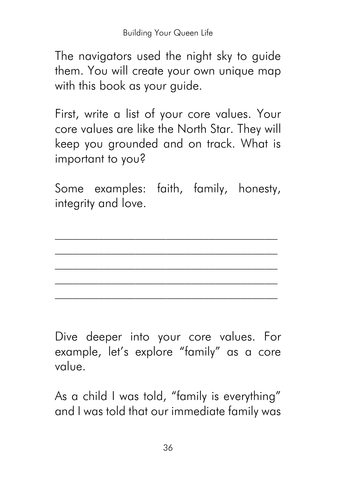The navigators used the night sky to guide them. You will create your own unique map with this book as your guide.

First, write a list of your core values. Your core values are like the North Star. They will keep you grounded and on track. What is important to you?

Some examples: faith, family, honesty, integrity and love.

 $\mathcal{L}_\text{max}$ \_\_\_\_\_\_\_\_\_\_\_\_\_\_\_\_\_\_\_\_\_\_\_\_\_\_\_\_\_\_\_\_\_\_\_\_

Dive deeper into your core values. For example, let's explore "family" as a core value.

As a child I was told, "family is everything" and I was told that our immediate family was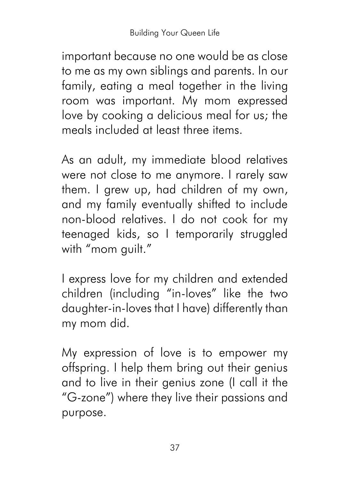important because no one would be as close to me as my own siblings and parents. In our family, eating a meal together in the living room was important. My mom expressed love by cooking a delicious meal for us; the meals included at least three items.

As an adult, my immediate blood relatives were not close to me anymore. I rarely saw them. I grew up, had children of my own, and my family eventually shifted to include non-blood relatives. I do not cook for my teenaged kids, so I temporarily struggled with "mom quilt."

I express love for my children and extended children (including "in-loves" like the two daughter-in-loves that I have) differently than my mom did.

My expression of love is to empower my offspring. I help them bring out their genius and to live in their genius zone (I call it the "G-zone") where they live their passions and purpose.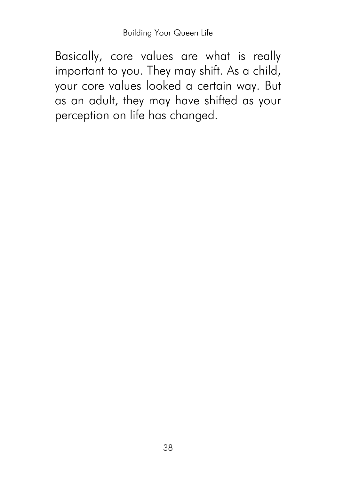Basically, core values are what is really important to you. They may shift. As a child, your core values looked a certain way. But as an adult, they may have shifted as your perception on life has changed.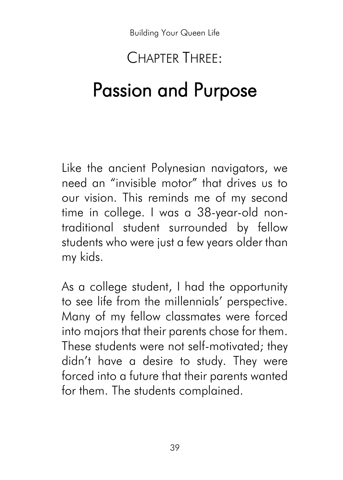# CHAPTER THREE: Passion and Purpose

Like the ancient Polynesian navigators, we need an "invisible motor" that drives us to our vision. This reminds me of my second time in college. I was a 38-year-old nontraditional student surrounded by fellow students who were just a few years older than my kids.

As a college student, I had the opportunity to see life from the millennials' perspective. Many of my fellow classmates were forced into majors that their parents chose for them. These students were not self-motivated; they didn't have a desire to study. They were forced into a future that their parents wanted for them. The students complained.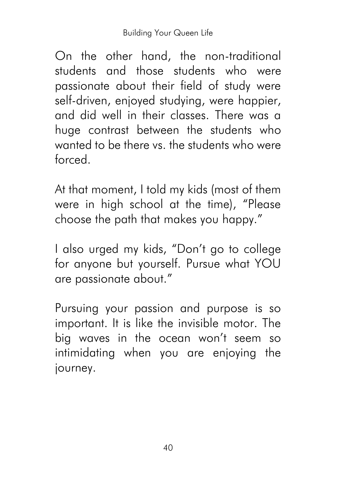On the other hand, the non-traditional students and those students who were passionate about their field of study were self-driven, enjoyed studying, were happier, and did well in their classes. There was a huge contrast between the students who wanted to be there vs. the students who were forced.

At that moment, I told my kids (most of them were in high school at the time), "Please choose the path that makes you happy."

I also urged my kids, "Don't go to college for anyone but yourself. Pursue what YOU are passionate about."

Pursuing your passion and purpose is so important. It is like the invisible motor. The big waves in the ocean won't seem so intimidating when you are enjoying the journey.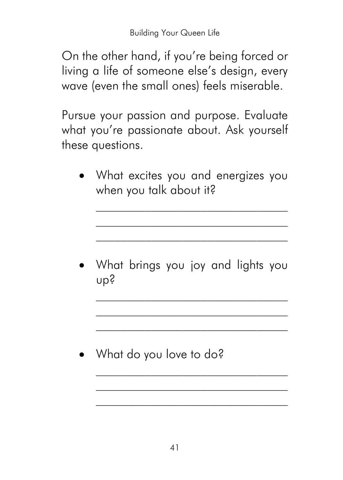On the other hand, if you're being forced or living a life of someone else's design, every wave (even the small ones) feels miserable.

Pursue your passion and purpose. Evaluate what you're passionate about. Ask yourself these questions.

• What excites you and energizes you when you talk about it?

 $\mathcal{L}_\text{max}$ \_\_\_\_\_\_\_\_\_\_\_\_\_\_\_\_\_\_\_\_\_\_\_\_\_\_\_\_\_\_\_

• What brings you joy and lights you up?

 $\mathcal{L}_\text{max}$ 

 $\mathcal{L}_\text{max}$ \_\_\_\_\_\_\_\_\_\_\_\_\_\_\_\_\_\_\_\_\_\_\_\_\_\_\_\_\_\_\_

• What do you love to do?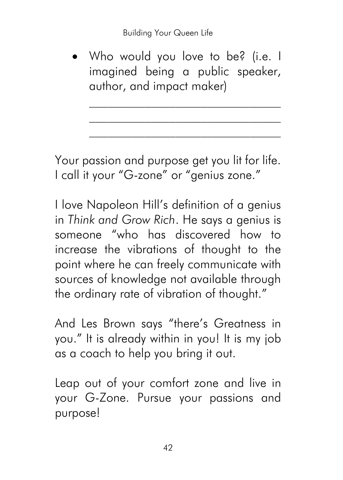• Who would you love to be? (i.e. I imagined being a public speaker, author, and impact maker)

Your passion and purpose get you lit for life. I call it your "G-zone" or "genius zone."

I love Napoleon Hill's definition of a genius in *Think and Grow Rich*. He says a genius is someone "who has discovered how to increase the vibrations of thought to the point where he can freely communicate with sources of knowledge not available through the ordinary rate of vibration of thought."

And Les Brown says "there's Greatness in you." It is already within in you! It is my job as a coach to help you bring it out.

Leap out of your comfort zone and live in your G-Zone. Pursue your passions and purpose!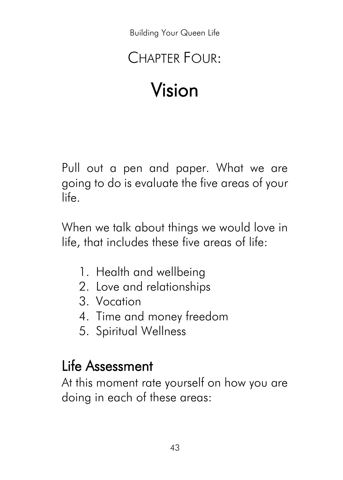# CHAPTER FOUR<sup>.</sup>

# Vision

Pull out a pen and paper. What we are going to do is evaluate the five areas of your life.

When we talk about things we would love in life, that includes these five areas of life:

- 1. Health and wellbeing
- 2. Love and relationships
- 3. Vocation
- 4. Time and money freedom
- 5. Spiritual Wellness

#### Life Assessment

At this moment rate yourself on how you are doing in each of these areas: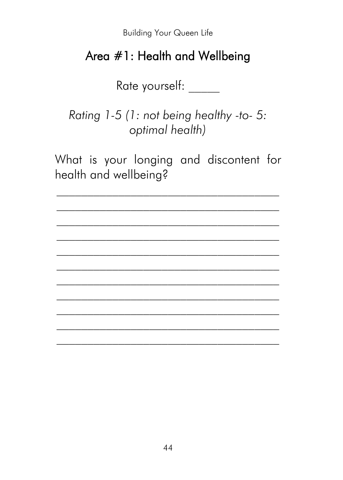#### Area #1: Health and Wellbeing

Rate yourself:

Rating 1-5 (1: not being healthy -to- 5: optimal health)

What is your longing and discontent for health and wellbeing?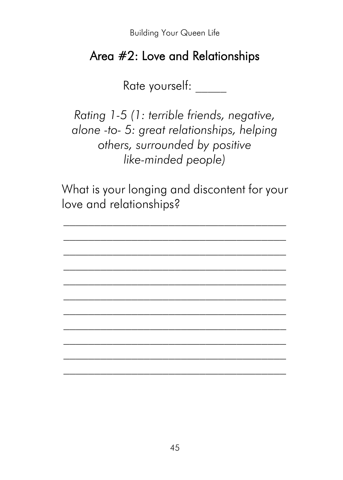#### Area #2: Love and Relationships

Rate yourself: \_\_\_\_\_

*Rating 1-5 (1: terrible friends, negative, alone -to- 5: great relationships, helping others, surrounded by positive like-minded people)*

What is your longing and discontent for your love and relationships?

 $\mathcal{L}_\text{max}$ \_\_\_\_\_\_\_\_\_\_\_\_\_\_\_\_\_\_\_\_\_\_\_\_\_\_\_\_\_\_\_\_\_\_\_\_

 $\mathcal{L}_\text{max}$  $\mathcal{L}_\text{max}$ \_\_\_\_\_\_\_\_\_\_\_\_\_\_\_\_\_\_\_\_\_\_\_\_\_\_\_\_\_\_\_\_\_\_\_\_

 $\mathcal{L}_\text{max}$ \_\_\_\_\_\_\_\_\_\_\_\_\_\_\_\_\_\_\_\_\_\_\_\_\_\_\_\_\_\_\_\_\_\_\_\_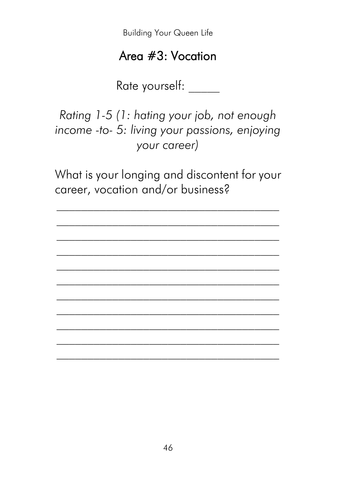#### Area #3: Vocation

Rate yourself: \_\_\_\_\_

*Rating 1-5 (1: hating your job, not enough income -to- 5: living your passions, enjoying your career)*

What is your longing and discontent for your career, vocation and/or business?

 $\mathcal{L}_\text{max}$ \_\_\_\_\_\_\_\_\_\_\_\_\_\_\_\_\_\_\_\_\_\_\_\_\_\_\_\_\_\_\_\_\_\_\_\_

 $\mathcal{L}_\text{max}$  $\mathcal{L}_\text{max}$ \_\_\_\_\_\_\_\_\_\_\_\_\_\_\_\_\_\_\_\_\_\_\_\_\_\_\_\_\_\_\_\_\_\_\_\_

 $\mathcal{L}_\text{max}$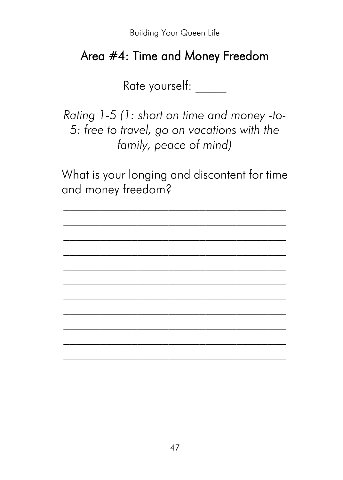#### Area #4: Time and Money Freedom

Rate yourself: \_\_\_\_\_

*Rating 1-5 (1: short on time and money -to-5: free to travel, go on vacations with the family, peace of mind)*

What is your longing and discontent for time and money freedom?

 $\mathcal{L}_\text{max}$ \_\_\_\_\_\_\_\_\_\_\_\_\_\_\_\_\_\_\_\_\_\_\_\_\_\_\_\_\_\_\_\_\_\_\_\_

 $\mathcal{L}_\text{max}$  $\mathcal{L}_\text{max}$ \_\_\_\_\_\_\_\_\_\_\_\_\_\_\_\_\_\_\_\_\_\_\_\_\_\_\_\_\_\_\_\_\_\_\_\_

 $\mathcal{L}_\text{max}$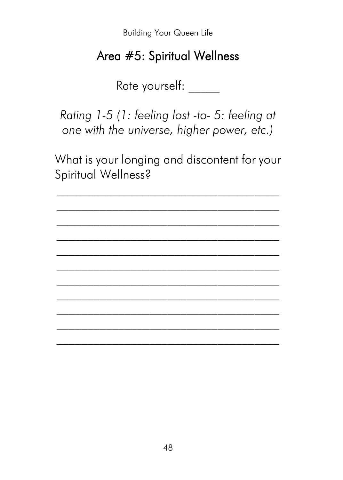#### Area #5: Spiritual Wellness

Rate yourself:

Rating 1-5 (1: feeling lost -to- 5: feeling at one with the universe, higher power, etc.)

What is your longing and discontent for your Spiritual Wellness?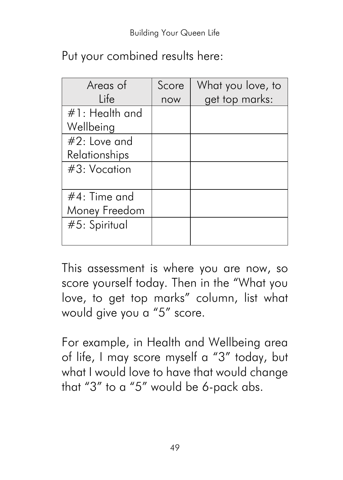|  | Put your combined results here: |  |  |
|--|---------------------------------|--|--|
|--|---------------------------------|--|--|

| Areas of          | Score | What you love, to |
|-------------------|-------|-------------------|
| l ife             | now   | get top marks:    |
| $#1$ : Health and |       |                   |
| Wellbeing         |       |                   |
| $#2$ : Love and   |       |                   |
| Relationships     |       |                   |
| $#3:$ Vocation    |       |                   |
|                   |       |                   |
| $#4$ : Time and   |       |                   |
| Money Freedom     |       |                   |
| #5: Spiritual     |       |                   |
|                   |       |                   |

This assessment is where you are now, so score yourself today. Then in the "What you love, to get top marks" column, list what would give you a "5" score.

For example, in Health and Wellbeing area of life, I may score myself a "3" today, but what I would love to have that would change that "3" to a "5" would be 6-pack abs.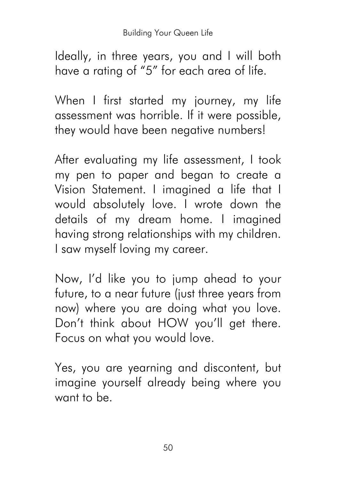Ideally, in three years, you and I will both have a rating of "5" for each area of life.

When I first started my journey, my life assessment was horrible. If it were possible, they would have been negative numbers!

After evaluating my life assessment, I took my pen to paper and began to create a Vision Statement. I imagined a life that I would absolutely love. I wrote down the details of my dream home. I imagined having strong relationships with my children. I saw myself loving my career.

Now, I'd like you to jump ahead to your future, to a near future (just three years from now) where you are doing what you love. Don't think about HOW you'll get there. Focus on what you would love.

Yes, you are yearning and discontent, but imagine yourself already being where you want to be.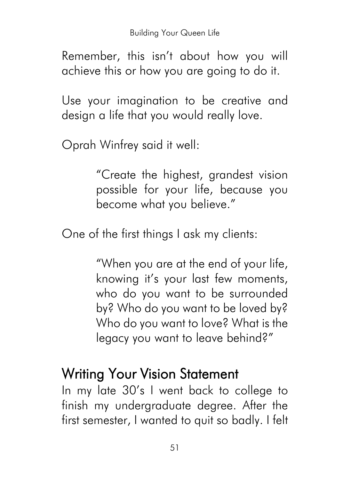Remember, this isn't about how you will achieve this or how you are going to do it.

Use your imagination to be creative and design a life that you would really love.

Oprah Winfrey said it well:

"Create the highest, grandest vision possible for your life, because you become what you believe."

One of the first things I ask my clients:

"When you are at the end of your life, knowing it's your last few moments, who do you want to be surrounded by? Who do you want to be loved by? Who do you want to love? What is the legacy you want to leave behind?"

#### Writing Your Vision Statement

In my late 30's I went back to college to finish my undergraduate degree. After the first semester, I wanted to quit so badly. I felt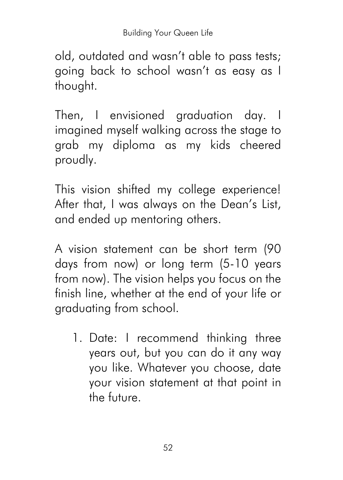old, outdated and wasn't able to pass tests; going back to school wasn't as easy as I thought.

Then, I envisioned graduation day. I imagined myself walking across the stage to grab my diploma as my kids cheered proudly.

This vision shifted my college experience! After that, I was always on the Dean's List, and ended up mentoring others.

A vision statement can be short term (90 days from now) or long term (5-10 years from now). The vision helps you focus on the finish line, whether at the end of your life or graduating from school.

1. Date: I recommend thinking three years out, but you can do it any way you like. Whatever you choose, date your vision statement at that point in the future.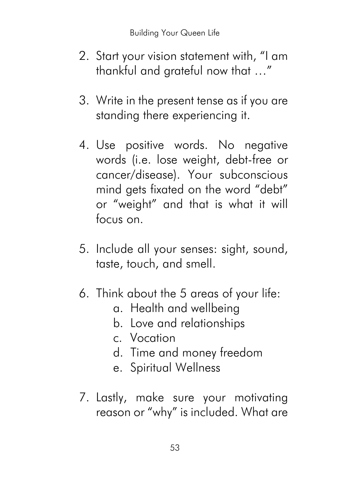- 2. Start your vision statement with, "I am thankful and grateful now that …"
- 3. Write in the present tense as if you are standing there experiencing it.
- 4. Use positive words. No negative words (i.e. lose weight, debt-free or cancer/disease). Your subconscious mind gets fixated on the word "debt" or "weight" and that is what it will focus on.
- 5. Include all your senses: sight, sound, taste, touch, and smell.
- 6. Think about the 5 areas of your life:
	- a. Health and wellbeing
	- b. Love and relationships
	- c. Vocation
	- d. Time and money freedom
	- e. Spiritual Wellness
- 7. Lastly, make sure your motivating reason or "why" is included. What are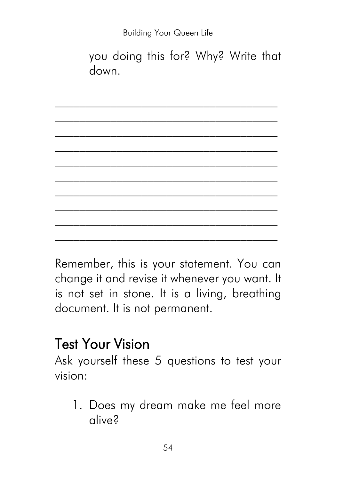*\_\_\_\_\_\_\_\_\_\_\_\_\_\_\_\_\_\_\_\_\_\_\_\_\_\_\_\_\_\_\_\_\_\_\_\_*

*\_\_\_\_\_\_\_\_\_\_\_\_\_\_\_\_\_\_\_\_\_\_\_\_\_\_\_\_\_\_\_\_\_\_\_\_*

you doing this for? Why? Write that down.

*\_\_\_\_\_\_\_\_\_\_\_\_\_\_\_\_\_\_\_\_\_\_\_\_\_\_\_\_\_\_\_\_\_\_\_\_ \_\_\_\_\_\_\_\_\_\_\_\_\_\_\_\_\_\_\_\_\_\_\_\_\_\_\_\_\_\_\_\_\_\_\_\_* Remember, this is your statement. You can change it and revise it whenever you want. It is not set in stone. It is a living, breathing document. It is not permanent.

#### Test Your Vision

Ask yourself these 5 questions to test your vision:

1. Does my dream make me feel more alive?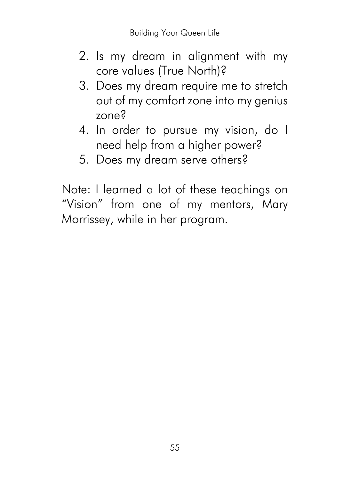- 2. Is my dream in alignment with my core values (True North)?
- 3. Does my dream require me to stretch out of my comfort zone into my genius zone?
- 4. In order to pursue my vision, do I need help from a higher power?
- 5. Does my dream serve others?

Note: I learned a lot of these teachings on "Vision" from one of my mentors, Mary Morrissey, while in her program.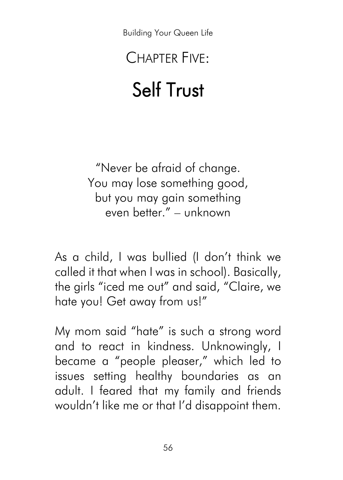# CHAPTER FIVE:

# Self Trust

"Never be afraid of change. You may lose something good, but you may gain something even better." – unknown

As a child, I was bullied (I don't think we called it that when I was in school). Basically, the girls "iced me out" and said, "Claire, we hate you! Get away from us!"

My mom said "hate" is such a strong word and to react in kindness. Unknowingly, I became a "people pleaser," which led to issues setting healthy boundaries as an adult. I feared that my family and friends wouldn't like me or that I'd disappoint them.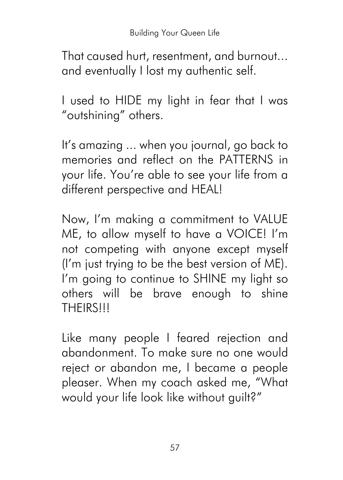That caused hurt, resentment, and burnout... and eventually I lost my authentic self.

I used to HIDE my light in fear that I was "outshining" others.

It's amazing ... when you journal, go back to memories and reflect on the PATTERNS in your life. You're able to see your life from a different perspective and HEAL!

Now, I'm making a commitment to VALUE ME, to allow myself to have a VOICE! I'm not competing with anyone except myself (I'm just trying to be the best version of ME). I'm going to continue to SHINE my light so others will be brave enough to shine **THEIRS!!!** 

Like many people I feared rejection and abandonment. To make sure no one would reject or abandon me, I became a people pleaser. When my coach asked me, "What would your life look like without guilt?"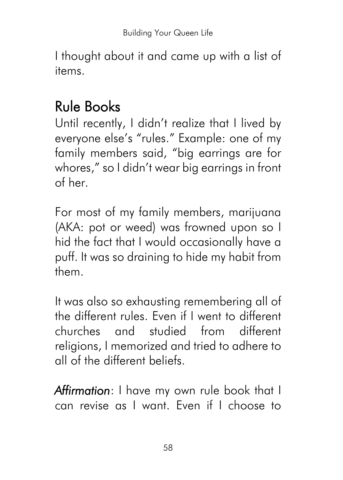I thought about it and came up with a list of items.

## Rule Books

Until recently, I didn't realize that I lived by everyone else's "rules." Example: one of my family members said, "big earrings are for whores," so I didn't wear big earrings in front of her.

For most of my family members, marijuana (AKA: pot or weed) was frowned upon so I hid the fact that I would occasionally have a puff. It was so draining to hide my habit from them.

It was also so exhausting remembering all of the different rules. Even if I went to different churches and studied from different religions, I memorized and tried to adhere to all of the different beliefs.

*Affirmation*: I have my own rule book that I can revise as I want. Even if I choose to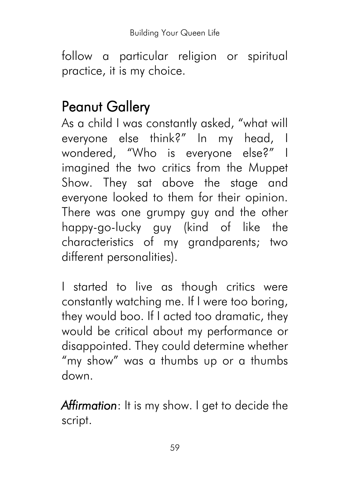follow a particular religion or spiritual practice, it is my choice.

#### Peanut Gallery

As a child I was constantly asked, "what will everyone else think?" In my head, I wondered, "Who is everyone else?" I imagined the two critics from the Muppet Show. They sat above the stage and everyone looked to them for their opinion. There was one grumpy guy and the other happy-go-lucky guy (kind of like the characteristics of my grandparents; two different personalities).

I started to live as though critics were constantly watching me. If I were too boring, they would boo. If I acted too dramatic, they would be critical about my performance or disappointed. They could determine whether "my show" was a thumbs up or a thumbs down.

*Affirmation*: It is my show. I get to decide the script.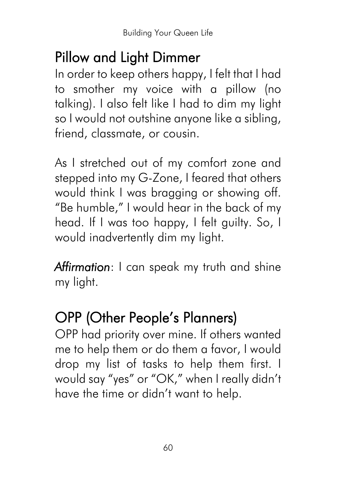## Pillow and Light Dimmer

In order to keep others happy, I felt that I had to smother my voice with a pillow (no talking). I also felt like I had to dim my light so I would not outshine anyone like a sibling, friend, classmate, or cousin.

As I stretched out of my comfort zone and stepped into my G-Zone, I feared that others would think I was bragging or showing off. "Be humble," I would hear in the back of my head. If I was too happy, I felt guilty. So, I would inadvertently dim my light.

*Affirmation*: I can speak my truth and shine my light.

# OPP (Other People's Planners)

OPP had priority over mine. If others wanted me to help them or do them a favor, I would drop my list of tasks to help them first. I would say "yes" or "OK," when I really didn't have the time or didn't want to help.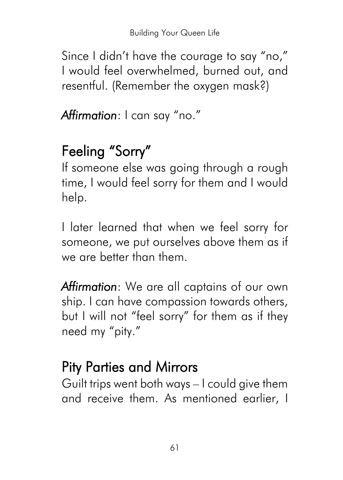Since I didn't have the courage to say "no," I would feel overwhelmed, burned out, and resentful. (Remember the oxygen mask?)

*Affirmation*: I can say "no."

# Feeling "Sorry"

If someone else was going through a rough time, I would feel sorry for them and I would help.

I later learned that when we feel sorry for someone, we put ourselves above them as if we are better than them.

*Affirmation*: We are all captains of our own ship. I can have compassion towards others, but I will not "feel sorry" for them as if they need my "pity."

# Pity Parties and Mirrors

Guilt trips went both ways – I could give them and receive them. As mentioned earlier, I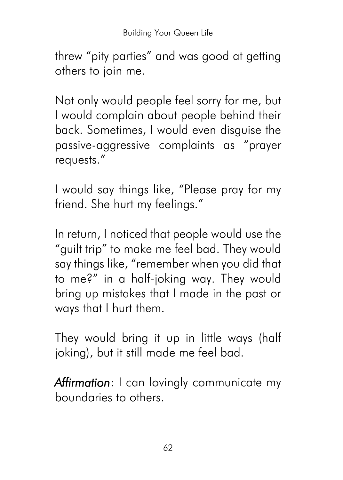threw "pity parties" and was good at getting others to join me.

Not only would people feel sorry for me, but I would complain about people behind their back. Sometimes, I would even disguise the passive-aggressive complaints as "prayer requests."

I would say things like, "Please pray for my friend. She hurt my feelings."

In return, I noticed that people would use the "guilt trip" to make me feel bad. They would say things like, "remember when you did that to me?" in a half-joking way. They would bring up mistakes that I made in the past or ways that I hurt them.

They would bring it up in little ways (half joking), but it still made me feel bad.

*Affirmation*: I can lovingly communicate my boundaries to others.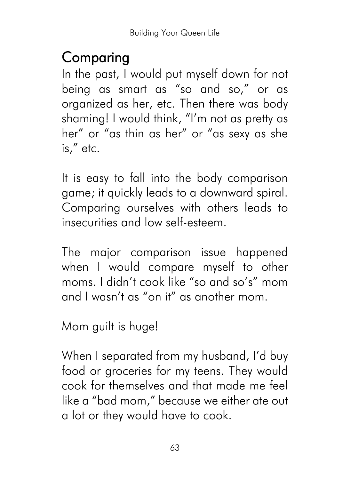## Comparing

In the past, I would put myself down for not being as smart as "so and so," or as organized as her, etc. Then there was body shaming! I would think, "I'm not as pretty as her" or "as thin as her" or "as sexy as she is," etc.

It is easy to fall into the body comparison game; it quickly leads to a downward spiral. Comparing ourselves with others leads to insecurities and low self-esteem.

The major comparison issue happened when I would compare myself to other moms. I didn't cook like "so and so's" mom and I wasn't as "on it" as another mom.

Mom guilt is huge!

When I separated from my husband, I'd buy food or groceries for my teens. They would cook for themselves and that made me feel like a "bad mom," because we either ate out a lot or they would have to cook.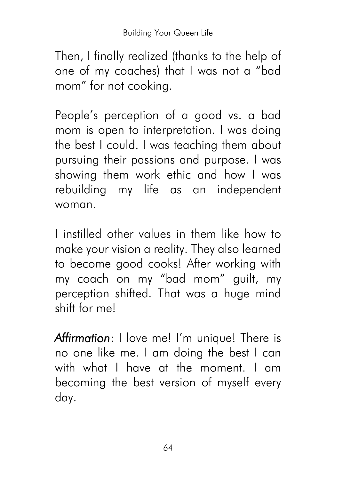Then, I finally realized (thanks to the help of one of my coaches) that I was not a "bad mom" for not cooking.

People's perception of a good vs. a bad mom is open to interpretation. I was doing the best I could. I was teaching them about pursuing their passions and purpose. I was showing them work ethic and how I was rebuilding my life as an independent woman.

I instilled other values in them like how to make your vision a reality. They also learned to become good cooks! After working with my coach on my "bad mom" guilt, my perception shifted. That was a huge mind shift for me!

*Affirmation*: I love me! I'm unique! There is no one like me. I am doing the best I can with what I have at the moment. I am becoming the best version of myself every day.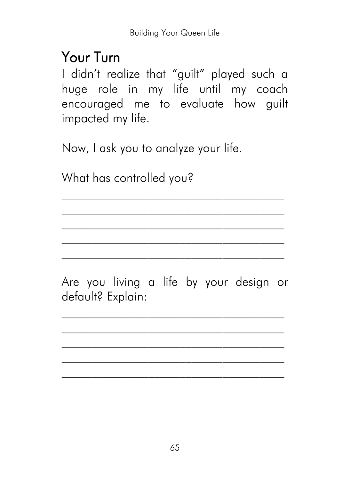#### Your Turn

I didn't realize that "guilt" played such a huge role in my life until my coach encouraged me to evaluate how guilt impacted my life.

Now, I ask you to analyze your life.

What has controlled you?

Are you living a life by your design or default? Explain:

*\_\_\_\_\_\_\_\_\_\_\_\_\_\_\_\_\_\_\_\_\_\_\_\_\_\_\_\_\_\_\_\_\_\_\_\_ \_\_\_\_\_\_\_\_\_\_\_\_\_\_\_\_\_\_\_\_\_\_\_\_\_\_\_\_\_\_\_\_\_\_\_\_*

*\_\_\_\_\_\_\_\_\_\_\_\_\_\_\_\_\_\_\_\_\_\_\_\_\_\_\_\_\_\_\_\_\_\_\_\_*

 $\mathcal{L}_\text{max}$ *\_\_\_\_\_\_\_\_\_\_\_\_\_\_\_\_\_\_\_\_\_\_\_\_\_\_\_\_\_\_\_\_\_\_\_\_*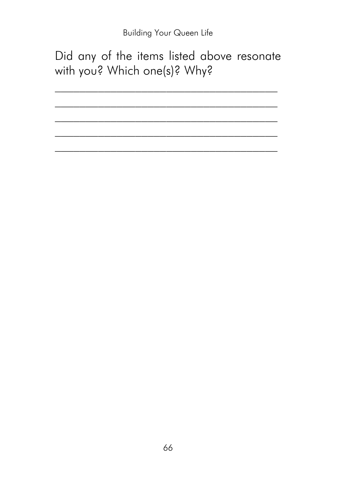Did any of the items listed above resonate with you? Which one(s)? Why?

66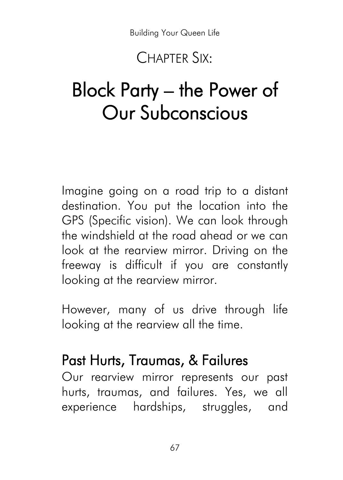#### CHAPTER SIX:

# Block Party – the Power of Our Subconscious

Imagine going on a road trip to a distant destination. You put the location into the GPS (Specific vision). We can look through the windshield at the road ahead or we can look at the rearview mirror. Driving on the freeway is difficult if you are constantly looking at the rearview mirror.

However, many of us drive through life looking at the rearview all the time.

#### Past Hurts, Traumas, & Failures

Our rearview mirror represents our past hurts, traumas, and failures. Yes, we all experience hardships, struggles, and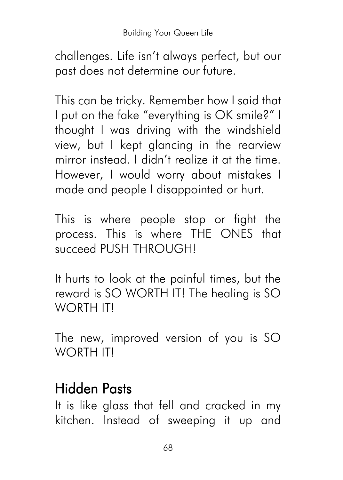challenges. Life isn't always perfect, but our past does not determine our future.

This can be tricky. Remember how I said that I put on the fake "everything is OK smile?" I thought I was driving with the windshield view, but I kept glancing in the rearview mirror instead. I didn't realize it at the time. However, I would worry about mistakes I made and people I disappointed or hurt.

This is where people stop or fight the process. This is where THE ONES that succeed PUSH THROUGH!

It hurts to look at the painful times, but the reward is SO WORTH IT! The healing is SO WORTH IT!

The new, improved version of you is SO WORTH ITI

# Hidden Pasts

It is like glass that fell and cracked in my kitchen. Instead of sweeping it up and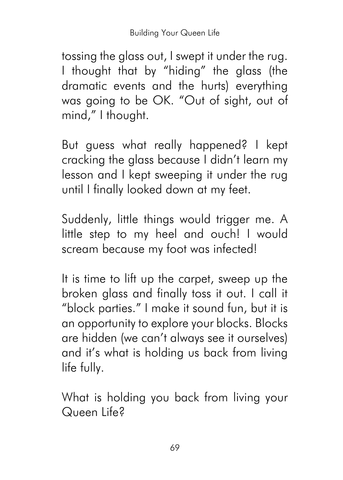tossing the glass out, I swept it under the rug. I thought that by "hiding" the glass (the dramatic events and the hurts) everything was going to be OK. "Out of sight, out of mind," I thought.

But guess what really happened? I kept cracking the glass because I didn't learn my lesson and I kept sweeping it under the rug until I finally looked down at my feet.

Suddenly, little things would trigger me. A little step to my heel and ouch! I would scream because my foot was infected!

It is time to lift up the carpet, sweep up the broken glass and finally toss it out. I call it "block parties." I make it sound fun, but it is an opportunity to explore your blocks. Blocks are hidden (we can't always see it ourselves) and it's what is holding us back from living life fully.

What is holding you back from living your Queen Life?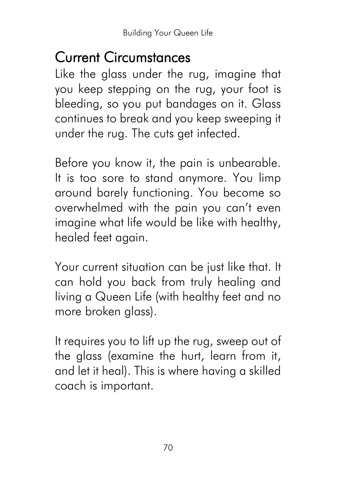#### Current Circumstances

Like the glass under the rug, imagine that you keep stepping on the rug, your foot is bleeding, so you put bandages on it. Glass continues to break and you keep sweeping it under the rug. The cuts get infected.

Before you know it, the pain is unbearable. It is too sore to stand anymore. You limp around barely functioning. You become so overwhelmed with the pain you can't even imagine what life would be like with healthy, healed feet again.

Your current situation can be just like that. It can hold you back from truly healing and living a Queen Life (with healthy feet and no more broken glass).

It requires you to lift up the rug, sweep out of the glass (examine the hurt, learn from it, and let it heal). This is where having a skilled coach is important.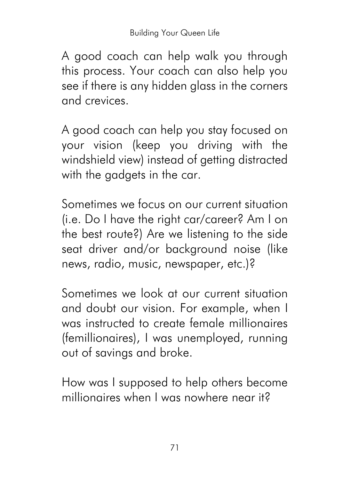A good coach can help walk you through this process. Your coach can also help you see if there is any hidden glass in the corners and crevices.

A good coach can help you stay focused on your vision (keep you driving with the windshield view) instead of getting distracted with the gadgets in the car.

Sometimes we focus on our current situation (i.e. Do I have the right car/career? Am I on the best route?) Are we listening to the side seat driver and/or background noise (like news, radio, music, newspaper, etc.)?

Sometimes we look at our current situation and doubt our vision. For example, when I was instructed to create female millionaires (femillionaires), I was unemployed, running out of savings and broke.

How was I supposed to help others become millionaires when I was nowhere near it?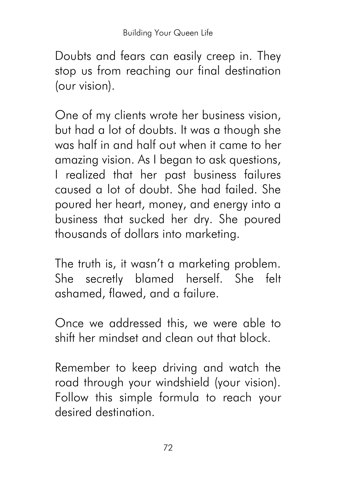Doubts and fears can easily creep in. They stop us from reaching our final destination (our vision).

One of my clients wrote her business vision, but had a lot of doubts. It was a though she was half in and half out when it came to her amazing vision. As I began to ask questions, I realized that her past business failures caused a lot of doubt. She had failed. She poured her heart, money, and energy into a business that sucked her dry. She poured thousands of dollars into marketing.

The truth is, it wasn't a marketing problem. She secretly blamed herself. She felt ashamed, flawed, and a failure.

Once we addressed this, we were able to shift her mindset and clean out that block.

Remember to keep driving and watch the road through your windshield (your vision). Follow this simple formula to reach your desired destination.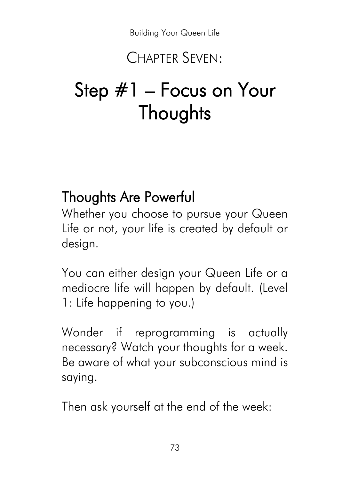#### CHAPTER SEVEN:

# Step #1 – Focus on Your **Thoughts**

#### Thoughts Are Powerful

Whether you choose to pursue your Queen Life or not, your life is created by default or design.

You can either design your Queen Life or a mediocre life will happen by default. (Level 1: Life happening to you.)

Wonder if reprogramming is actually necessary? Watch your thoughts for a week. Be aware of what your subconscious mind is saying.

Then ask yourself at the end of the week: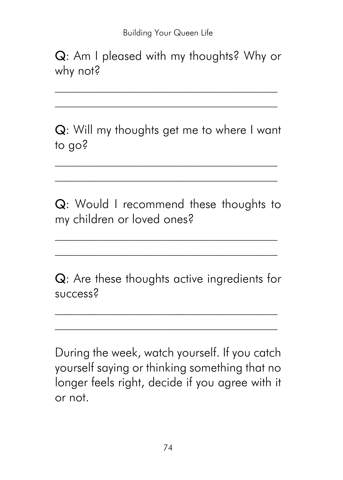Q: Am I pleased with my thoughts? Why or why not?

 $\mathcal{L}_\text{max}$ \_\_\_\_\_\_\_\_\_\_\_\_\_\_\_\_\_\_\_\_\_\_\_\_\_\_\_\_\_\_\_\_\_\_\_\_

Q: Will my thoughts get me to where I want to go?

 $\mathcal{L}_\text{max}$ \_\_\_\_\_\_\_\_\_\_\_\_\_\_\_\_\_\_\_\_\_\_\_\_\_\_\_\_\_\_\_\_\_\_\_\_

Q: Would I recommend these thoughts to my children or loved ones?

\_\_\_\_\_\_\_\_\_\_\_\_\_\_\_\_\_\_\_\_\_\_\_\_\_\_\_\_\_\_\_\_\_\_\_\_

Q: Are these thoughts active ingredients for success?

\_\_\_\_\_\_\_\_\_\_\_\_\_\_\_\_\_\_\_\_\_\_\_\_\_\_\_\_\_\_\_\_\_\_\_\_

During the week, watch yourself. If you catch yourself saying or thinking something that no longer feels right, decide if you agree with it or not.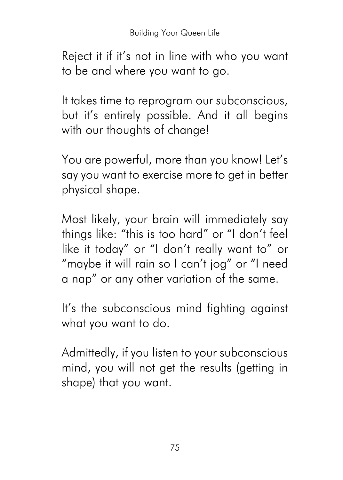Reject it if it's not in line with who you want to be and where you want to go.

It takes time to reprogram our subconscious, but it's entirely possible. And it all begins with our thoughts of change!

You are powerful, more than you know! Let's say you want to exercise more to get in better physical shape.

Most likely, your brain will immediately say things like: "this is too hard" or "I don't feel like it today" or "I don't really want to" or "maybe it will rain so I can't jog" or "I need a nap" or any other variation of the same.

It's the subconscious mind fighting against what you want to do.

Admittedly, if you listen to your subconscious mind, you will not get the results (getting in shape) that you want.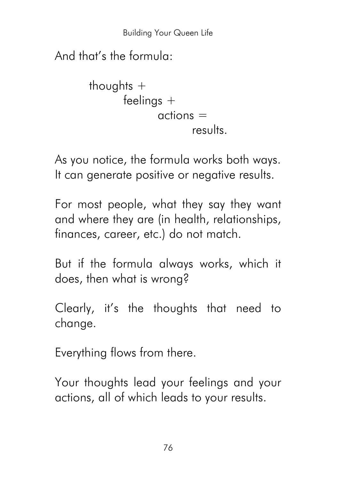And that's the formula:

```
thoughts +
feelings +
        \alphactions =results.
```
As you notice, the formula works both ways. It can generate positive or negative results.

For most people, what they say they want and where they are (in health, relationships, finances, career, etc.) do not match.

But if the formula always works, which it does, then what is wrong?

Clearly, it's the thoughts that need to change.

Everything flows from there.

Your thoughts lead your feelings and your actions, all of which leads to your results.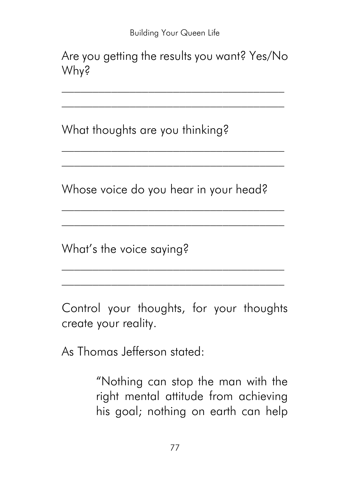Are you getting the results you want? Yes/No Why?

 $\mathcal{L}_\text{max}$ \_\_\_\_\_\_\_\_\_\_\_\_\_\_\_\_\_\_\_\_\_\_\_\_\_\_\_\_\_\_\_\_\_\_\_\_

What thoughts are you thinking?

Whose voice do you hear in your head?

 $\mathcal{L}_\text{max}$ 

 $\mathcal{L}_\text{max}$ 

What's the voice saying?

Control your thoughts, for your thoughts create your reality.

As Thomas Jefferson stated:

"Nothing can stop the man with the right mental attitude from achieving his goal; nothing on earth can help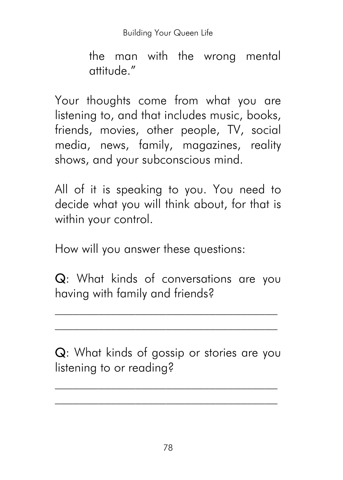the man with the wrong mental attitude."

Your thoughts come from what you are listening to, and that includes music, books, friends, movies, other people, TV, social media, news, family, magazines, reality shows, and your subconscious mind.

All of it is speaking to you. You need to decide what you will think about, for that is within your control.

How will you answer these questions:

Q: What kinds of conversations are you having with family and friends?

\_\_\_\_\_\_\_\_\_\_\_\_\_\_\_\_\_\_\_\_\_\_\_\_\_\_\_\_\_\_\_\_\_\_\_\_

Q: What kinds of gossip or stories are you listening to or reading?

\_\_\_\_\_\_\_\_\_\_\_\_\_\_\_\_\_\_\_\_\_\_\_\_\_\_\_\_\_\_\_\_\_\_\_\_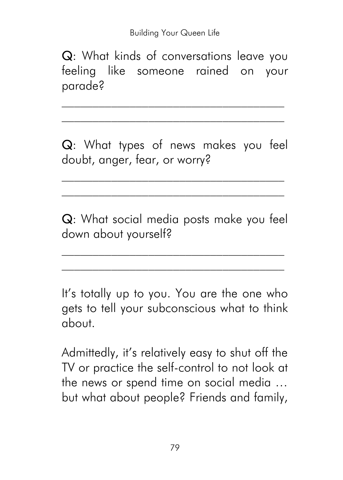Q: What kinds of conversations leave you feeling like someone rained on your parade?

\_\_\_\_\_\_\_\_\_\_\_\_\_\_\_\_\_\_\_\_\_\_\_\_\_\_\_\_\_\_\_\_\_\_\_\_

Q: What types of news makes you feel doubt, anger, fear, or worry?

\_\_\_\_\_\_\_\_\_\_\_\_\_\_\_\_\_\_\_\_\_\_\_\_\_\_\_\_\_\_\_\_\_\_\_\_

Q: What social media posts make you feel down about yourself?

It's totally up to you. You are the one who gets to tell your subconscious what to think about.

Admittedly, it's relatively easy to shut off the TV or practice the self-control to not look at the news or spend time on social media … but what about people? Friends and family,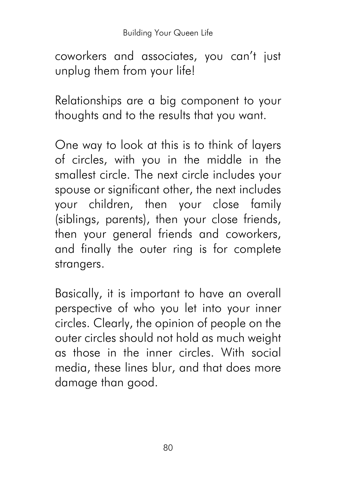coworkers and associates, you can't just unplug them from your life!

Relationships are a big component to your thoughts and to the results that you want.

One way to look at this is to think of layers of circles, with you in the middle in the smallest circle. The next circle includes your spouse or significant other, the next includes your children, then your close family (siblings, parents), then your close friends, then your general friends and coworkers, and finally the outer ring is for complete strangers.

Basically, it is important to have an overall perspective of who you let into your inner circles. Clearly, the opinion of people on the outer circles should not hold as much weight as those in the inner circles. With social media, these lines blur, and that does more damage than good.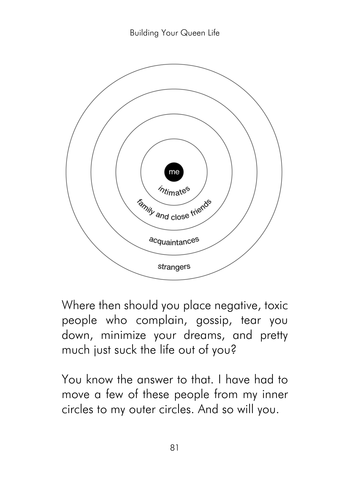

Where then should you place negative, toxic people who complain, gossip, tear you down, minimize your dreams, and pretty much just suck the life out of you?

You know the answer to that. I have had to move a few of these people from my inner circles to my outer circles. And so will you.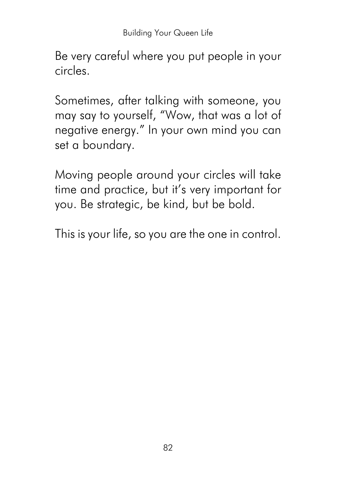Be very careful where you put people in your circles.

Sometimes, after talking with someone, you may say to yourself, "Wow, that was a lot of negative energy." In your own mind you can set a boundary.

Moving people around your circles will take time and practice, but it's very important for you. Be strategic, be kind, but be bold.

This is your life, so you are the one in control.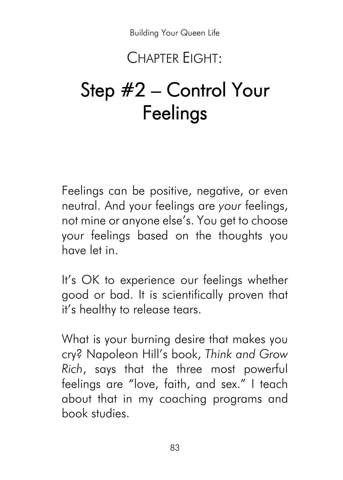#### CHAPTER EIGHT:

# Step #2 – Control Your Feelings

Feelings can be positive, negative, or even neutral. And your feelings are *your* feelings, not mine or anyone else's. You get to choose your feelings based on the thoughts you have let in.

It's OK to experience our feelings whether good or bad. It is scientifically proven that it's healthy to release tears.

What is your burning desire that makes you cry? Napoleon Hill's book, *Think and Grow Rich*, says that the three most powerful feelings are "love, faith, and sex." I teach about that in my coaching programs and book studies.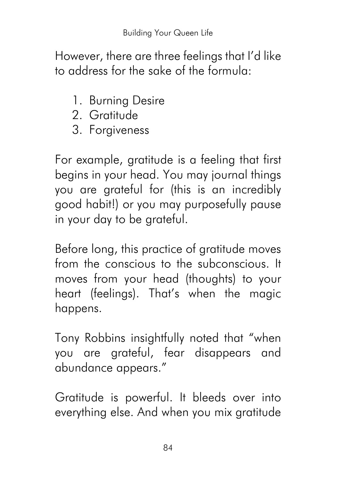However, there are three feelings that I'd like to address for the sake of the formula:

- 1. Burning Desire
- 2. Gratitude
- 3. Forgiveness

For example, gratitude is a feeling that first begins in your head. You may journal things you are grateful for (this is an incredibly good habit!) or you may purposefully pause in your day to be grateful.

Before long, this practice of gratitude moves from the conscious to the subconscious. It moves from your head (thoughts) to your heart (feelings). That's when the magic happens.

Tony Robbins insightfully noted that "when you are grateful, fear disappears and abundance appears."

Gratitude is powerful. It bleeds over into everything else. And when you mix gratitude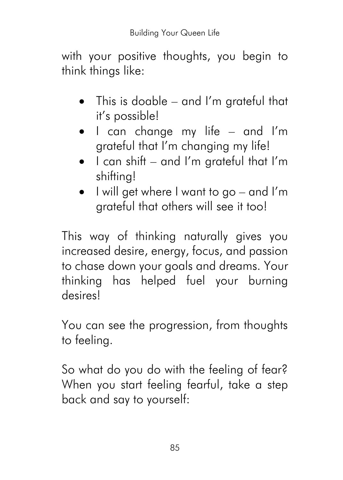with your positive thoughts, you begin to think things like:

- This is doable and I'm grateful that it's possible!
- I can change my life and I'm grateful that I'm changing my life!
- I can shift and I'm grateful that I'm shifting!
- I will get where I want to go and I'm grateful that others will see it too!

This way of thinking naturally gives you increased desire, energy, focus, and passion to chase down your goals and dreams. Your thinking has helped fuel your burning desires!

You can see the progression, from thoughts to feeling.

So what do you do with the feeling of fear? When you start feeling fearful, take a step back and say to yourself: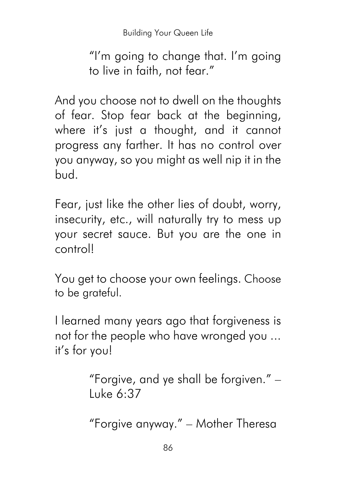"I'm going to change that. I'm going to live in faith, not fear."

And you choose not to dwell on the thoughts of fear. Stop fear back at the beginning, where it's just a thought, and it cannot progress any farther. It has no control over you anyway, so you might as well nip it in the bud.

Fear, just like the other lies of doubt, worry, insecurity, etc., will naturally try to mess up your secret sauce. But you are the one in control!

You get to choose your own feelings. Choose to be grateful.

I learned many years ago that forgiveness is not for the people who have wronged you ... it's for you!

> "Forgive, and ye shall be forgiven." – Luke 6:37

"Forgive anyway." – Mother Theresa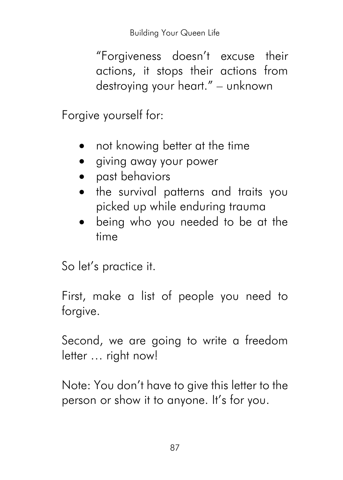"Forgiveness doesn't excuse their actions, it stops their actions from destroying your heart." – unknown

Forgive yourself for:

- not knowing better at the time
- giving away your power
- past behaviors
- the survival patterns and traits you picked up while enduring trauma
- being who you needed to be at the time

So let's practice it.

First, make a list of people you need to forgive.

Second, we are going to write a freedom letter … right now!

Note: You don't have to give this letter to the person or show it to anyone. It's for you.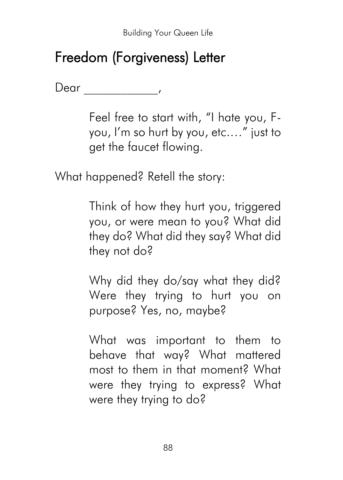## Freedom (Forgiveness) Letter

Dear \_\_\_\_\_\_\_\_\_\_\_\_,

Feel free to start with, "I hate you, Fyou, I'm so hurt by you, etc.…" just to get the faucet flowing.

What happened? Retell the story:

Think of how they hurt you, triggered you, or were mean to you? What did they do? What did they say? What did they not do?

Why did they do/say what they did? Were they trying to hurt you on purpose? Yes, no, maybe?

What was important to them to behave that way? What mattered most to them in that moment? What were they trying to express? What were they trying to do?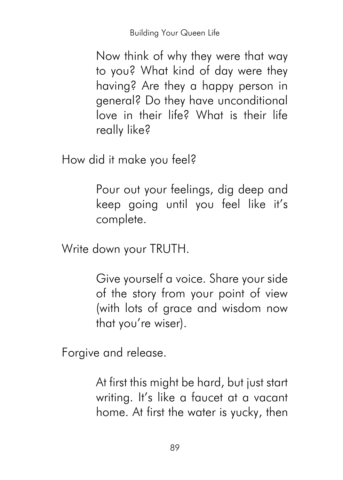Now think of why they were that way to you? What kind of day were they having? Are they a happy person in general? Do they have unconditional love in their life? What is their life really like?

How did it make you feel?

Pour out your feelings, dig deep and keep going until you feel like it's complete.

Write down your TRUTH.

Give yourself a voice. Share your side of the story from your point of view (with lots of grace and wisdom now that you're wiser).

Forgive and release.

At first this might be hard, but just start writing. It's like a faucet at a vacant home. At first the water is yucky, then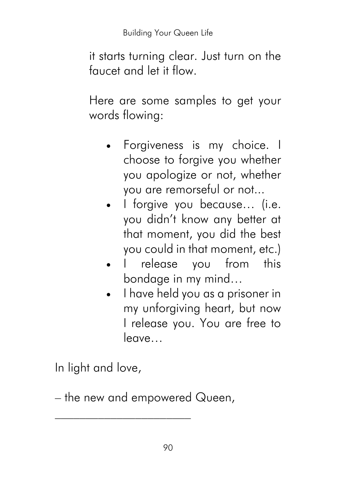it starts turning clear. Just turn on the faucet and let it flow.

Here are some samples to get your words flowing:

- Forgiveness is my choice. I choose to forgive you whether you apologize or not, whether you are remorseful or not...
- I forgive you because... (i.e. you didn't know any better at that moment, you did the best you could in that moment, etc.)
- I release you from this bondage in my mind…
- I have held you as a prisoner in my unforgiving heart, but now I release you. You are free to leave…

In light and love,

– the new and empowered Queen,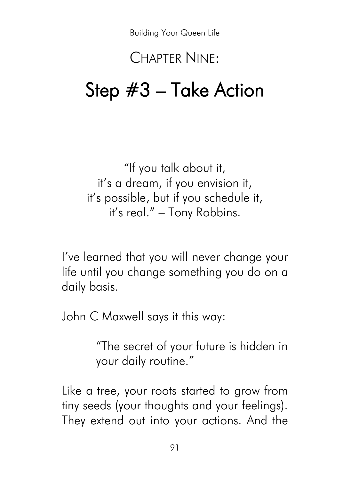#### CHAPTER NINE:

## Step #3 – Take Action

"If you talk about it, it's a dream, if you envision it, it's possible, but if you schedule it, it's real." – Tony Robbins.

I've learned that you will never change your life until you change something you do on a daily basis.

John C Maxwell says it this way:

"The secret of your future is hidden in your daily routine."

Like a tree, your roots started to grow from tiny seeds (your thoughts and your feelings). They extend out into your actions. And the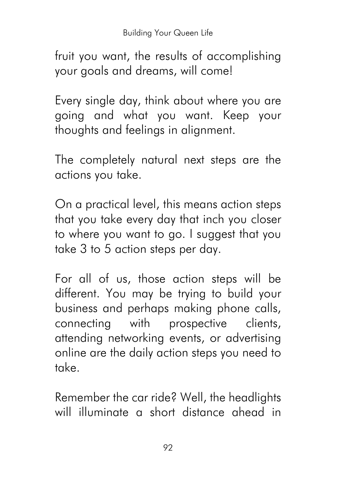fruit you want, the results of accomplishing your goals and dreams, will come!

Every single day, think about where you are going and what you want. Keep your thoughts and feelings in alignment.

The completely natural next steps are the actions you take.

On a practical level, this means action steps that you take every day that inch you closer to where you want to go. I suggest that you take 3 to 5 action steps per day.

For all of us, those action steps will be different. You may be trying to build your business and perhaps making phone calls, connecting with prospective clients, attending networking events, or advertising online are the daily action steps you need to take.

Remember the car ride? Well, the headlights will illuminate a short distance ahead in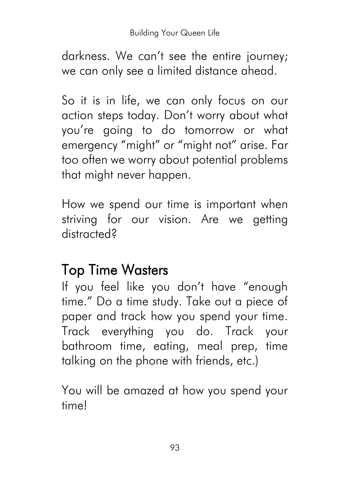darkness. We can't see the entire journey; we can only see a limited distance ahead.

So it is in life, we can only focus on our action steps today. Don't worry about what you're going to do tomorrow or what emergency "might" or "might not" arise. Far too often we worry about potential problems that might never happen.

How we spend our time is important when striving for our vision. Are we getting distracted?

## Top Time Wasters

If you feel like you don't have "enough time." Do a time study. Take out a piece of paper and track how you spend your time. Track everything you do. Track your bathroom time, eating, meal prep, time talking on the phone with friends, etc.)

You will be amazed at how you spend your time!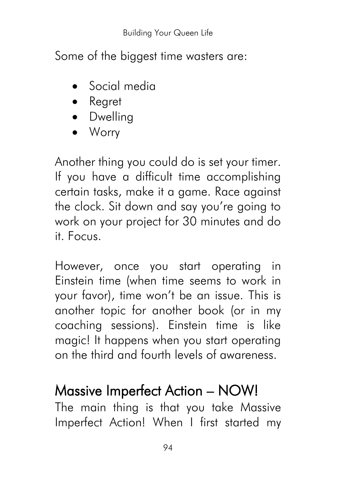Some of the biggest time wasters are:

- Social media
- Regret
- Dwelling
- Worry

Another thing you could do is set your timer. If you have a difficult time accomplishing certain tasks, make it a game. Race against the clock. Sit down and say you're going to work on your project for 30 minutes and do it. Focus.

However, once you start operating in Einstein time (when time seems to work in your favor), time won't be an issue. This is another topic for another book (or in my coaching sessions). Einstein time is like magic! It happens when you start operating on the third and fourth levels of awareness.

#### Massive Imperfect Action – NOW!

The main thing is that you take Massive Imperfect Action! When I first started my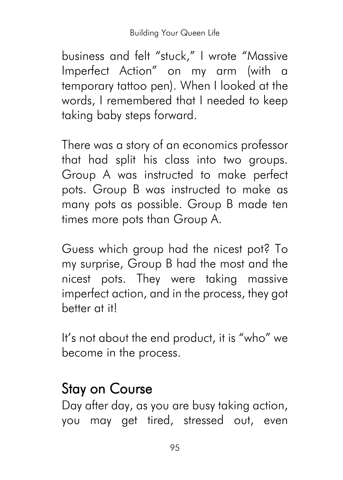business and felt "stuck," I wrote "Massive Imperfect Action" on my arm (with a temporary tattoo pen). When I looked at the words, I remembered that I needed to keep taking baby steps forward.

There was a story of an economics professor that had split his class into two groups. Group A was instructed to make perfect pots. Group B was instructed to make as many pots as possible. Group B made ten times more pots than Group A.

Guess which group had the nicest pot? To my surprise, Group B had the most and the nicest pots. They were taking massive imperfect action, and in the process, they got better at it!

It's not about the end product, it is "who" we become in the process.

## Stay on Course

Day after day, as you are busy taking action, you may get tired, stressed out, even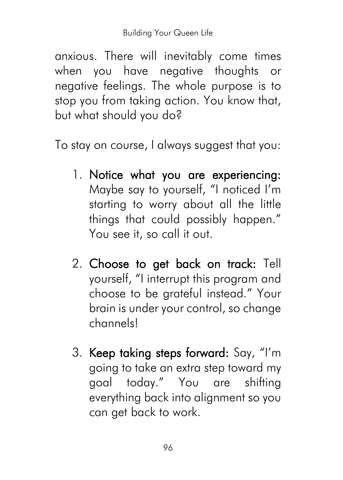anxious. There will inevitably come times when you have negative thoughts or negative feelings. The whole purpose is to stop you from taking action. You know that, but what should you do?

To stay on course, I always suggest that you:

- 1. Notice what you are experiencing: Maybe say to yourself, "I noticed I'm starting to worry about all the little things that could possibly happen." You see it, so call it out.
- 2. Choose to get back on track: Tell yourself, "I interrupt this program and choose to be grateful instead." Your brain is under your control, so change channels!
- 3. Keep taking steps forward: Say, "I'm going to take an extra step toward my goal today." You are shifting everything back into alignment so you can get back to work.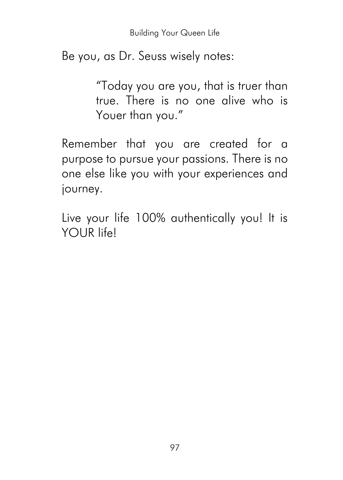Be you, as Dr. Seuss wisely notes:

"Today you are you, that is truer than true. There is no one alive who is Youer than you."

Remember that you are created for a purpose to pursue your passions. There is no one else like you with your experiences and journey.

Live your life 100% authentically you! It is YOUR life!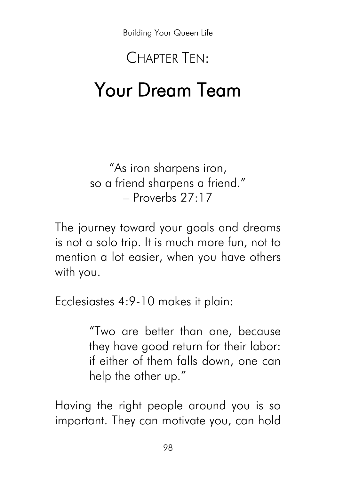# CHAPTER TEN: Your Dream Team

"As iron sharpens iron, so a friend sharpens a friend."  $-$  Proverbs 27 $\cdot$ 17

The journey toward your goals and dreams is not a solo trip. It is much more fun, not to mention a lot easier, when you have others with you.

Ecclesiastes 4:9-10 makes it plain:

"Two are better than one, because they have good return for their labor: if either of them falls down, one can help the other up."

Having the right people around you is so important. They can motivate you, can hold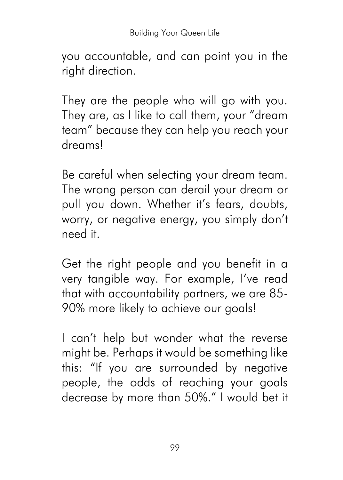you accountable, and can point you in the right direction.

They are the people who will go with you. They are, as I like to call them, your "dream team" because they can help you reach your dreams!

Be careful when selecting your dream team. The wrong person can derail your dream or pull you down. Whether it's fears, doubts, worry, or negative energy, you simply don't need it.

Get the right people and you benefit in a very tangible way. For example, I've read that with accountability partners, we are 85- 90% more likely to achieve our goals!

I can't help but wonder what the reverse might be. Perhaps it would be something like this: "If you are surrounded by negative people, the odds of reaching your goals decrease by more than 50%." I would bet it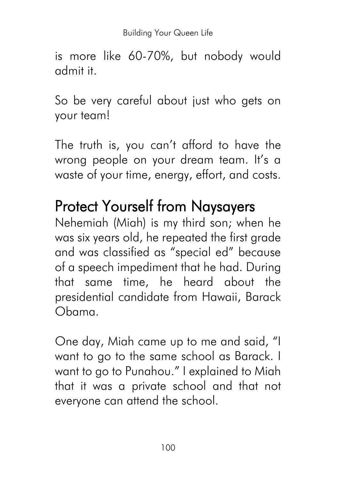is more like 60-70%, but nobody would admit it.

So be very careful about just who gets on your team!

The truth is, you can't afford to have the wrong people on your dream team. It's a waste of your time, energy, effort, and costs.

## Protect Yourself from Naysayers

Nehemiah (Miah) is my third son; when he was six years old, he repeated the first grade and was classified as "special ed" because of a speech impediment that he had. During that same time, he heard about the presidential candidate from Hawaii, Barack Obama.

One day, Miah came up to me and said, "I want to go to the same school as Barack. I want to go to Punahou." I explained to Miah that it was a private school and that not everyone can attend the school.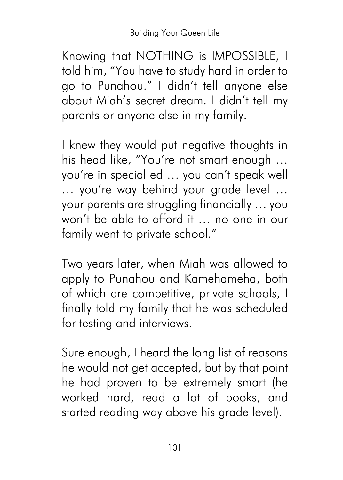Knowing that NOTHING is IMPOSSIBLE, I told him, "You have to study hard in order to go to Punahou." I didn't tell anyone else about Miah's secret dream. I didn't tell my parents or anyone else in my family.

I knew they would put negative thoughts in his head like, "You're not smart enough … you're in special ed … you can't speak well … you're way behind your grade level … your parents are struggling financially … you won't be able to afford it … no one in our family went to private school."

Two years later, when Miah was allowed to apply to Punahou and Kamehameha, both of which are competitive, private schools, I finally told my family that he was scheduled for testing and interviews.

Sure enough, I heard the long list of reasons he would not get accepted, but by that point he had proven to be extremely smart (he worked hard, read a lot of books, and started reading way above his grade level).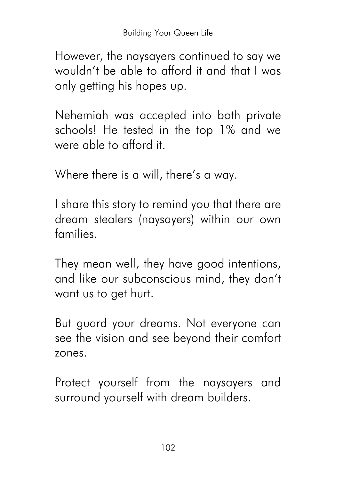However, the naysayers continued to say we wouldn't be able to afford it and that I was only getting his hopes up.

Nehemiah was accepted into both private schools! He tested in the top 1% and we were able to afford it.

Where there is a will, there's a way.

I share this story to remind you that there are dream stealers (naysayers) within our own families.

They mean well, they have good intentions, and like our subconscious mind, they don't want us to get hurt.

But guard your dreams. Not everyone can see the vision and see beyond their comfort zones.

Protect yourself from the naysayers and surround yourself with dream builders.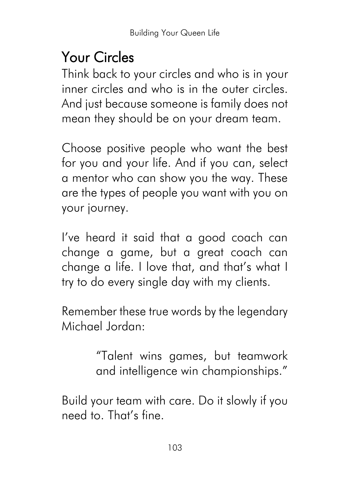## Your Circles

Think back to your circles and who is in your inner circles and who is in the outer circles. And just because someone is family does not mean they should be on your dream team.

Choose positive people who want the best for you and your life. And if you can, select a mentor who can show you the way. These are the types of people you want with you on your journey.

I've heard it said that a good coach can change a game, but a great coach can change a life. I love that, and that's what I try to do every single day with my clients.

Remember these true words by the legendary Michael Jordan:

> "Talent wins games, but teamwork and intelligence win championships."

Build your team with care. Do it slowly if you need to. That's fine.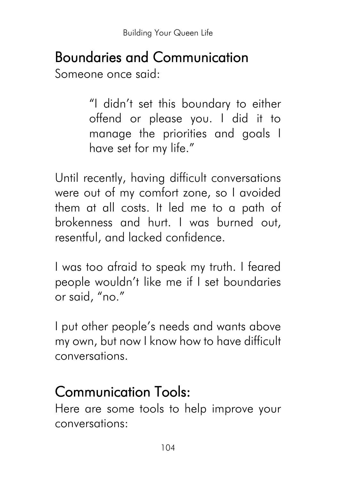## Boundaries and Communication

Someone once said:

"I didn't set this boundary to either offend or please you. I did it to manage the priorities and goals I have set for my life."

Until recently, having difficult conversations were out of my comfort zone, so I avoided them at all costs. It led me to a path of brokenness and hurt. I was burned out, resentful, and lacked confidence.

I was too afraid to speak my truth. I feared people wouldn't like me if I set boundaries or said, "no."

I put other people's needs and wants above my own, but now I know how to have difficult conversations.

## Communication Tools:

Here are some tools to help improve your conversations: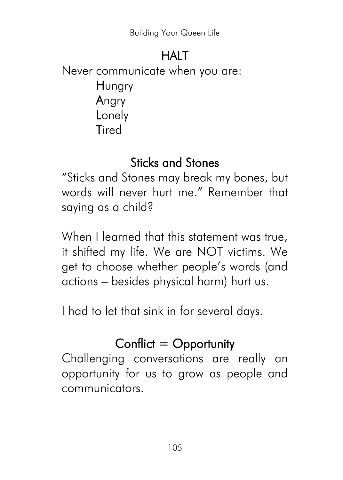#### **HALT**

Never communicate when you are: **H**ungry Angry **Lonely Tired** 

#### Sticks and Stones

"Sticks and Stones may break my bones, but words will never hurt me." Remember that saying as a child?

When I learned that this statement was true, it shifted my life. We are NOT victims. We get to choose whether people's words (and actions – besides physical harm) hurt us.

I had to let that sink in for several days.

#### Conflict  $=$  Opportunity

Challenging conversations are really an opportunity for us to grow as people and communicators.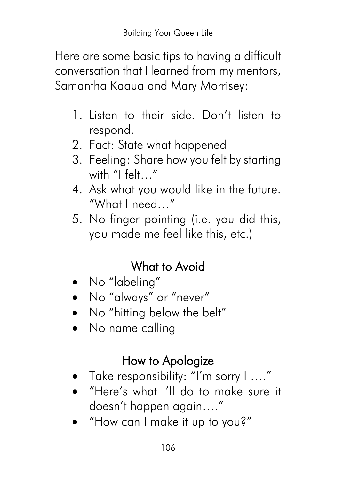Here are some basic tips to having a difficult conversation that I learned from my mentors, Samantha Kaaua and Mary Morrisey:

- 1. Listen to their side. Don't listen to respond.
- 2. Fact: State what happened
- 3. Feeling: Share how you felt by starting with "I felt…"
- 4. Ask what you would like in the future. "What I need…"
- 5. No finger pointing (i.e. you did this, you made me feel like this, etc.)

#### What to Avoid

- No "labeling"
- No "always" or "never"
- No "hitting below the belt"
- No name calling

#### How to Apologize

- Take responsibility: "I'm sorry I ...."
- "Here's what I'll do to make sure it doesn't happen again…."
- "How can I make it up to you?"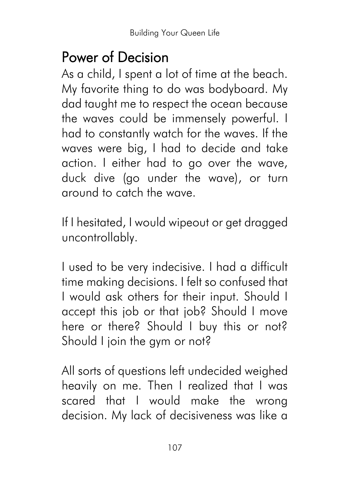#### Power of Decision

As a child, I spent a lot of time at the beach. My favorite thing to do was bodyboard. My dad taught me to respect the ocean because the waves could be immensely powerful. I had to constantly watch for the waves. If the waves were big, I had to decide and take action. I either had to go over the wave, duck dive (go under the wave), or turn around to catch the wave.

If I hesitated, I would wipeout or get dragged uncontrollably.

I used to be very indecisive. I had a difficult time making decisions. I felt so confused that I would ask others for their input. Should I accept this job or that job? Should I move here or there? Should I buy this or not? Should I join the gym or not?

All sorts of questions left undecided weighed heavily on me. Then I realized that I was scared that I would make the wrong decision. My lack of decisiveness was like a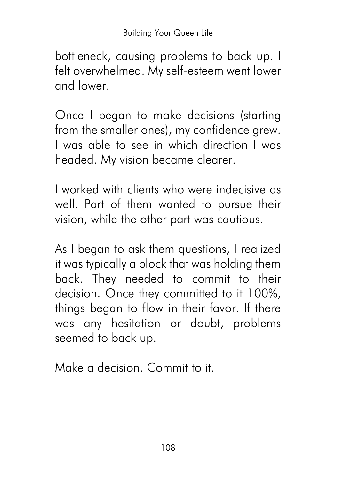bottleneck, causing problems to back up. I felt overwhelmed. My self-esteem went lower and lower.

Once I began to make decisions (starting from the smaller ones), my confidence grew. I was able to see in which direction I was headed. My vision became clearer.

I worked with clients who were indecisive as well. Part of them wanted to pursue their vision, while the other part was cautious.

As I began to ask them questions, I realized it was typically a block that was holding them back. They needed to commit to their decision. Once they committed to it 100%, things began to flow in their favor. If there was any hesitation or doubt, problems seemed to back up.

Make a decision. Commit to it.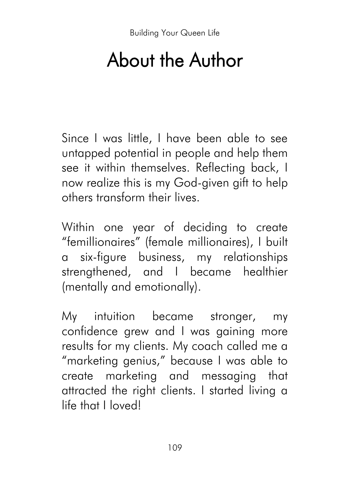## About the Author

Since I was little, I have been able to see untapped potential in people and help them see it within themselves. Reflecting back, I now realize this is my God-given gift to help others transform their lives.

Within one year of deciding to create "femillionaires" (female millionaires), I built a six-figure business, my relationships strengthened, and I became healthier (mentally and emotionally).

My intuition became stronger, my confidence grew and I was gaining more results for my clients. My coach called me a "marketing genius," because I was able to create marketing and messaging that attracted the right clients. I started living a life that I loved!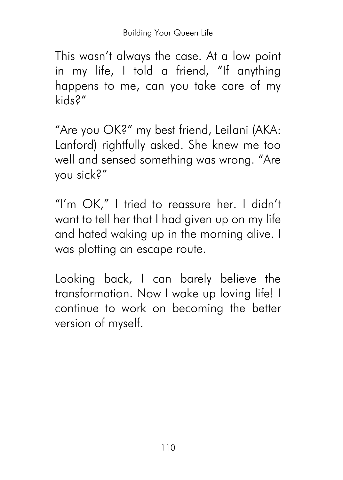This wasn't always the case. At a low point in my life, I told a friend, "If anything happens to me, can you take care of my kids?"

"Are you OK?" my best friend, Leilani (AKA: Lanford) rightfully asked. She knew me too well and sensed something was wrong. "Are you sick?"

"I'm OK," I tried to reassure her. I didn't want to tell her that I had given up on my life and hated waking up in the morning alive. I was plotting an escape route.

Looking back, I can barely believe the transformation. Now I wake up loving life! I continue to work on becoming the better version of myself.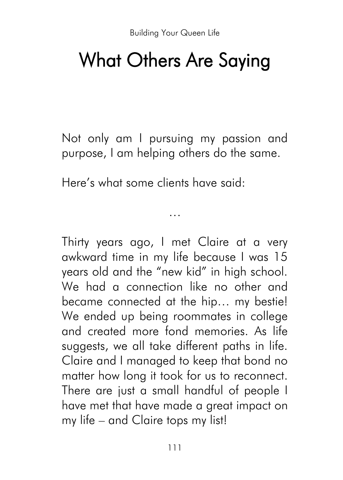## What Others Are Saying

Not only am I pursuing my passion and purpose, I am helping others do the same.

…

Here's what some clients have said:

Thirty years ago, I met Claire at a very awkward time in my life because I was 15 years old and the "new kid" in high school. We had a connection like no other and became connected at the hip… my bestie! We ended up being roommates in college and created more fond memories. As life suggests, we all take different paths in life. Claire and I managed to keep that bond no matter how long it took for us to reconnect. There are just a small handful of people I have met that have made a great impact on my life – and Claire tops my list!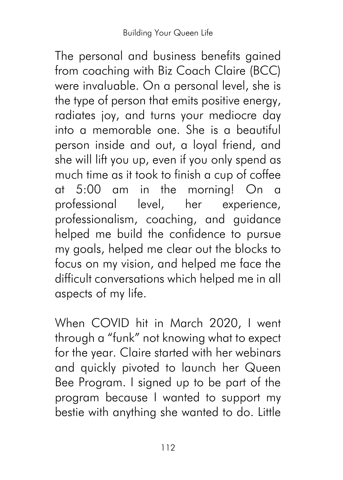The personal and business benefits gained from coaching with Biz Coach Claire (BCC) were invaluable. On a personal level, she is the type of person that emits positive energy, radiates joy, and turns your mediocre day into a memorable one. She is a beautiful person inside and out, a loyal friend, and she will lift you up, even if you only spend as much time as it took to finish a cup of coffee at 5:00 am in the morning! On a professional level, her experience, professionalism, coaching, and guidance helped me build the confidence to pursue my goals, helped me clear out the blocks to focus on my vision, and helped me face the difficult conversations which helped me in all aspects of my life.

When COVID hit in March 2020, I went through a "funk" not knowing what to expect for the year. Claire started with her webinars and quickly pivoted to launch her Queen Bee Program. I signed up to be part of the program because I wanted to support my bestie with anything she wanted to do. Little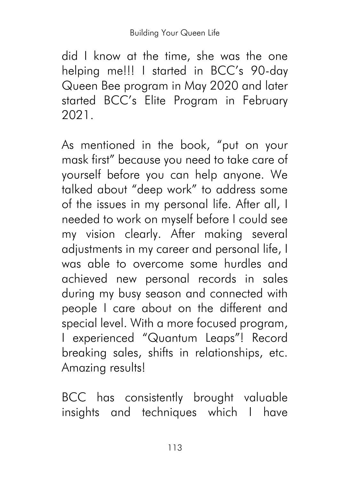did I know at the time, she was the one helping me!!! I started in BCC's 90-day Queen Bee program in May 2020 and later started BCC's Elite Program in February 2021.

As mentioned in the book, "put on your mask first" because you need to take care of yourself before you can help anyone. We talked about "deep work" to address some of the issues in my personal life. After all, I needed to work on myself before I could see my vision clearly. After making several adjustments in my career and personal life, I was able to overcome some hurdles and achieved new personal records in sales during my busy season and connected with people I care about on the different and special level. With a more focused program, I experienced "Quantum Leaps"! Record breaking sales, shifts in relationships, etc. Amazing results!

BCC has consistently brought valuable insights and techniques which I have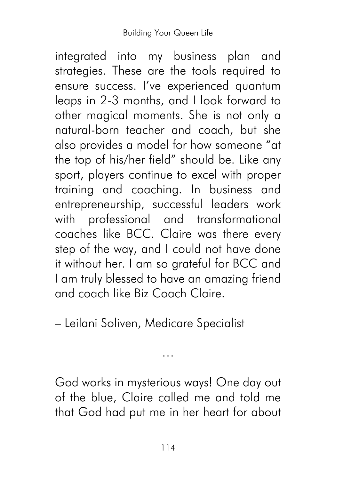integrated into my business plan and strategies. These are the tools required to ensure success. I've experienced quantum leaps in 2-3 months, and I look forward to other magical moments. She is not only a natural-born teacher and coach, but she also provides a model for how someone "at the top of his/her field" should be. Like any sport, players continue to excel with proper training and coaching. In business and entrepreneurship, successful leaders work with professional and transformational coaches like BCC. Claire was there every step of the way, and I could not have done it without her. I am so grateful for BCC and I am truly blessed to have an amazing friend and coach like Biz Coach Claire.

– Leilani Soliven, Medicare Specialist

God works in mysterious ways! One day out of the blue, Claire called me and told me that God had put me in her heart for about

…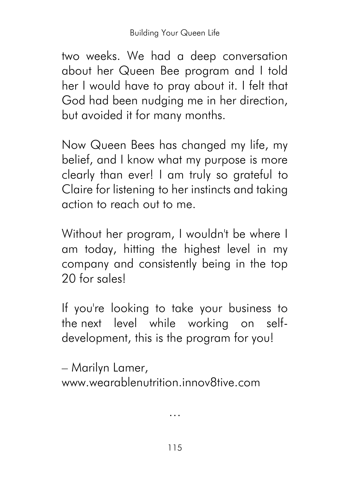two weeks. We had a deep conversation about her Queen Bee program and I told her I would have to pray about it. I felt that God had been nudging me in her direction, but avoided it for many months.

Now Queen Bees has changed my life, my belief, and I know what my purpose is more clearly than ever! I am truly so grateful to Claire for listening to her instincts and taking action to reach out to me.

Without her program, I wouldn't be where I am today, hitting the highest level in my company and consistently being in the top 20 for sales!

If you're looking to take your business to the next level while working on selfdevelopment, this is the program for you!

– Marilyn Lamer,

www.wearablenutrition.innov8tive.com

…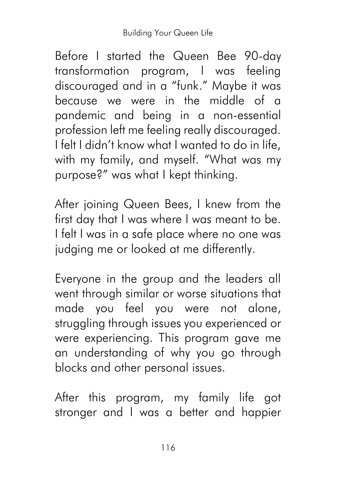Before I started the Queen Bee 90-day transformation program, I was feeling discouraged and in a "funk." Maybe it was because we were in the middle of a pandemic and being in a non-essential profession left me feeling really discouraged. I felt I didn't know what I wanted to do in life, with my family, and myself. "What was my purpose?" was what I kept thinking.

After joining Queen Bees, I knew from the first day that I was where I was meant to be. I felt I was in a safe place where no one was judging me or looked at me differently.

Everyone in the group and the leaders all went through similar or worse situations that made you feel you were not alone, struggling through issues you experienced or were experiencing. This program gave me an understanding of why you go through blocks and other personal issues.

After this program, my family life got stronger and I was a better and happier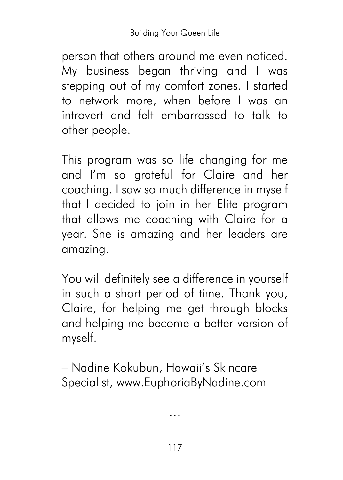person that others around me even noticed. My business began thriving and I was stepping out of my comfort zones. I started to network more, when before I was an introvert and felt embarrassed to talk to other people.

This program was so life changing for me and I'm so grateful for Claire and her coaching. I saw so much difference in myself that I decided to join in her Elite program that allows me coaching with Claire for a year. She is amazing and her leaders are amazing.

You will definitely see a difference in yourself in such a short period of time. Thank you, Claire, for helping me get through blocks and helping me become a better version of myself.

– Nadine Kokubun, Hawaii's Skincare Specialist, www.EuphoriaByNadine.com

…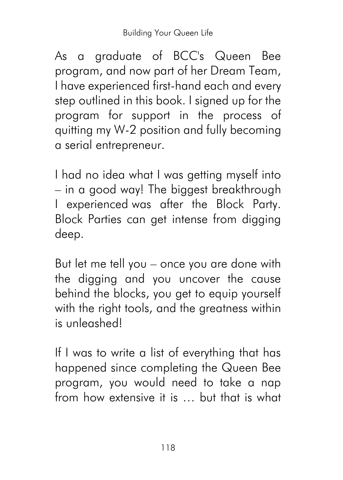As a graduate of BCC's Queen Bee program, and now part of her Dream Team, I have experienced first-hand each and every step outlined in this book. I signed up for the program for support in the process of quitting my W-2 position and fully becoming a serial entrepreneur.

I had no idea what I was getting myself into – in a good way! The biggest breakthrough I experienced was after the Block Party. Block Parties can get intense from digging deep.

But let me tell you – once you are done with the digging and you uncover the cause behind the blocks, you get to equip yourself with the right tools, and the greatness within is unleashed!

If I was to write a list of everything that has happened since completing the Queen Bee program, you would need to take a nap from how extensive it is … but that is what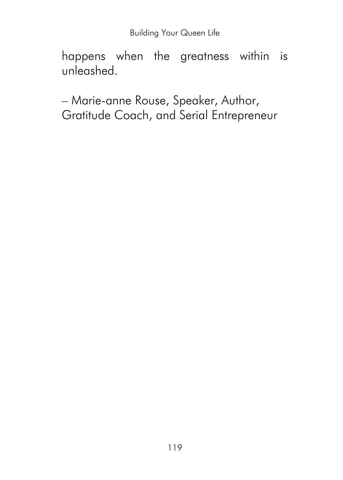happens when the greatness within is unleashed.

– Marie-anne Rouse, Speaker, Author, Gratitude Coach, and Serial Entrepreneur